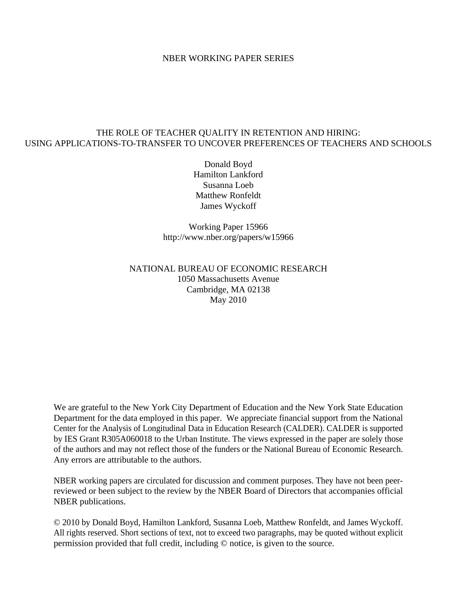### NBER WORKING PAPER SERIES

### THE ROLE OF TEACHER QUALITY IN RETENTION AND HIRING: USING APPLICATIONS-TO-TRANSFER TO UNCOVER PREFERENCES OF TEACHERS AND SCHOOLS

Donald Boyd Hamilton Lankford Susanna Loeb Matthew Ronfeldt James Wyckoff

Working Paper 15966 http://www.nber.org/papers/w15966

## NATIONAL BUREAU OF ECONOMIC RESEARCH 1050 Massachusetts Avenue Cambridge, MA 02138 May 2010

We are grateful to the New York City Department of Education and the New York State Education Department for the data employed in this paper. We appreciate financial support from the National Center for the Analysis of Longitudinal Data in Education Research (CALDER). CALDER is supported by IES Grant R305A060018 to the Urban Institute. The views expressed in the paper are solely those of the authors and may not reflect those of the funders or the National Bureau of Economic Research. Any errors are attributable to the authors.

NBER working papers are circulated for discussion and comment purposes. They have not been peerreviewed or been subject to the review by the NBER Board of Directors that accompanies official NBER publications.

© 2010 by Donald Boyd, Hamilton Lankford, Susanna Loeb, Matthew Ronfeldt, and James Wyckoff. All rights reserved. Short sections of text, not to exceed two paragraphs, may be quoted without explicit permission provided that full credit, including © notice, is given to the source.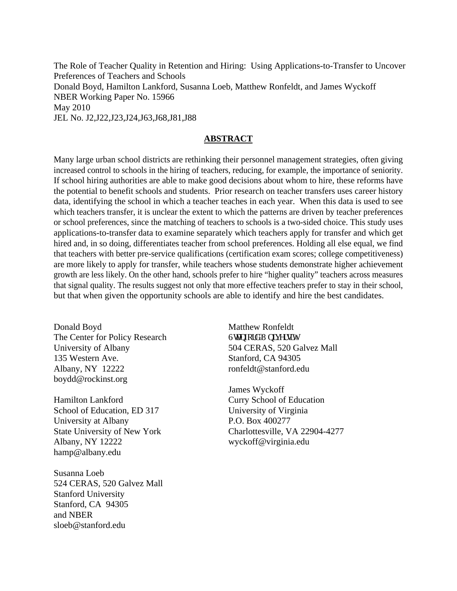The Role of Teacher Quality in Retention and Hiring: Using Applications-to-Transfer to Uncover Preferences of Teachers and Schools Donald Boyd, Hamilton Lankford, Susanna Loeb, Matthew Ronfeldt, and James Wyckoff NBER Working Paper No. 15966 May 2010 JEL No. J2,J22,J23,J24,J63,J68,J81,J88

## **ABSTRACT**

Many large urban school districts are rethinking their personnel management strategies, often giving increased control to schools in the hiring of teachers, reducing, for example, the importance of seniority. If school hiring authorities are able to make good decisions about whom to hire, these reforms have the potential to benefit schools and students. Prior research on teacher transfers uses career history data, identifying the school in which a teacher teaches in each year. When this data is used to see which teachers transfer, it is unclear the extent to which the patterns are driven by teacher preferences or school preferences, since the matching of teachers to schools is a two-sided choice. This study uses applications-to-transfer data to examine separately which teachers apply for transfer and which get hired and, in so doing, differentiates teacher from school preferences. Holding all else equal, we find that teachers with better pre-service qualifications (certification exam scores; college competitiveness) are more likely to apply for transfer, while teachers whose students demonstrate higher achievement growth are less likely. On the other hand, schools prefer to hire "higher quality" teachers across measures that signal quality. The results suggest not only that more effective teachers prefer to stay in their school, but that when given the opportunity schools are able to identify and hire the best candidates.

Donald Boyd The Center for Policy Research University of Albany 135 Western Ave. Albany, NY 12222 boydd@rockinst.org

Hamilton Lankford School of Education, ED 317 University at Albany State University of New York Albany, NY 12222 hamp@albany.edu

Susanna Loeb 524 CERAS, 520 Galvez Mall Stanford University Stanford, CA 94305 and NBER sloeb@stanford.edu

Matthew Ronfeldt Usephatf "Woks gtuky 504 CERAS, 520 Galvez Mall Stanford, CA 94305 ronfeldt@stanford.edu

James Wyckoff Curry School of Education University of Virginia P.O. Box 400277 Charlottesville, VA 22904-4277 wyckoff@virginia.edu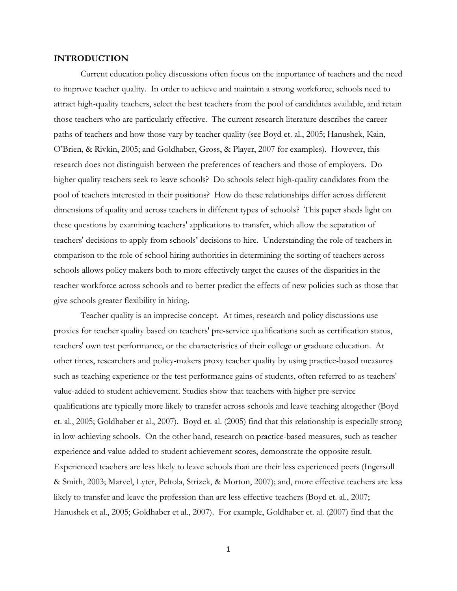#### **INTRODUCTION**

Current education policy discussions often focus on the importance of teachers and the need to improve teacher quality. In order to achieve and maintain a strong workforce, schools need to attract high-quality teachers, select the best teachers from the pool of candidates available, and retain those teachers who are particularly effective. The current research literature describes the career paths of teachers and how those vary by teacher quality (see Boyd et. al., 2005; Hanushek, Kain, O'Brien, & Rivkin, 2005; and Goldhaber, Gross, & Player, 2007 for examples). However, this research does not distinguish between the preferences of teachers and those of employers. Do higher quality teachers seek to leave schools? Do schools select high-quality candidates from the pool of teachers interested in their positions? How do these relationships differ across different dimensions of quality and across teachers in different types of schools? This paper sheds light on these questions by examining teachers' applications to transfer, which allow the separation of teachers' decisions to apply from schools' decisions to hire. Understanding the role of teachers in comparison to the role of school hiring authorities in determining the sorting of teachers across schools allows policy makers both to more effectively target the causes of the disparities in the teacher workforce across schools and to better predict the effects of new policies such as those that give schools greater flexibility in hiring.

Teacher quality is an imprecise concept. At times, research and policy discussions use proxies for teacher quality based on teachers' pre-service qualifications such as certification status, teachers' own test performance, or the characteristics of their college or graduate education. At other times, researchers and policy-makers proxy teacher quality by using practice-based measures such as teaching experience or the test performance gains of students, often referred to as teachers' value-added to student achievement. Studies show that teachers with higher pre-service qualifications are typically more likely to transfer across schools and leave teaching altogether (Boyd et. al., 2005; Goldhaber et al., 2007). Boyd et. al. (2005) find that this relationship is especially strong in low-achieving schools. On the other hand, research on practice-based measures, such as teacher experience and value-added to student achievement scores, demonstrate the opposite result. Experienced teachers are less likely to leave schools than are their less experienced peers (Ingersoll & Smith, 2003; Marvel, Lyter, Peltola, Strizek, & Morton, 2007); and, more effective teachers are less likely to transfer and leave the profession than are less effective teachers (Boyd et. al., 2007; Hanushek et al., 2005; Goldhaber et al., 2007). For example, Goldhaber et. al. (2007) find that the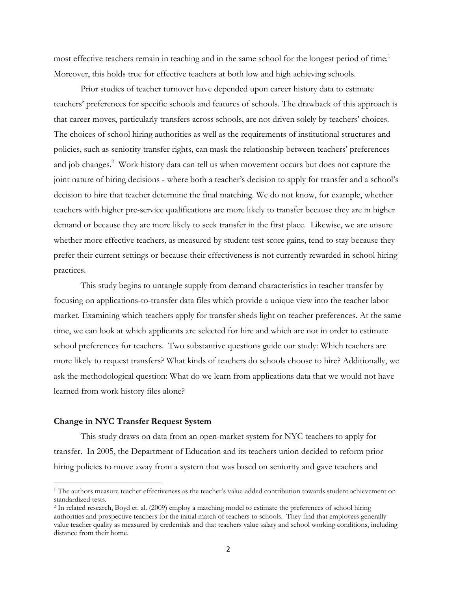most effective teachers remain in teaching and in the same school for the longest period of time.<sup>1</sup> Moreover, this holds true for effective teachers at both low and high achieving schools.

Prior studies of teacher turnover have depended upon career history data to estimate teachers' preferences for specific schools and features of schools. The drawback of this approach is that career moves, particularly transfers across schools, are not driven solely by teachers' choices. The choices of school hiring authorities as well as the requirements of institutional structures and policies, such as seniority transfer rights, can mask the relationship between teachers' preferences and job changes.<sup>2</sup> Work history data can tell us when movement occurs but does not capture the joint nature of hiring decisions - where both a teacher's decision to apply for transfer and a school's decision to hire that teacher determine the final matching. We do not know, for example, whether teachers with higher pre-service qualifications are more likely to transfer because they are in higher demand or because they are more likely to seek transfer in the first place. Likewise, we are unsure whether more effective teachers, as measured by student test score gains, tend to stay because they prefer their current settings or because their effectiveness is not currently rewarded in school hiring practices.

This study begins to untangle supply from demand characteristics in teacher transfer by focusing on applications-to-transfer data files which provide a unique view into the teacher labor market. Examining which teachers apply for transfer sheds light on teacher preferences. At the same time, we can look at which applicants are selected for hire and which are not in order to estimate school preferences for teachers. Two substantive questions guide our study: Which teachers are more likely to request transfers? What kinds of teachers do schools choose to hire? Additionally, we ask the methodological question: What do we learn from applications data that we would not have learned from work history files alone?

#### **Change in NYC Transfer Request System**

This study draws on data from an open-market system for NYC teachers to apply for transfer. In 2005, the Department of Education and its teachers union decided to reform prior hiring policies to move away from a system that was based on seniority and gave teachers and

<sup>1</sup> The authors measure teacher effectiveness as the teacher's value-added contribution towards student achievement on standardized tests.

<sup>&</sup>lt;sup>2</sup> In related research, Boyd et. al. (2009) employ a matching model to estimate the preferences of school hiring authorities and prospective teachers for the initial match of teachers to schools. They find that employers generally value teacher quality as measured by credentials and that teachers value salary and school working conditions, including distance from their home.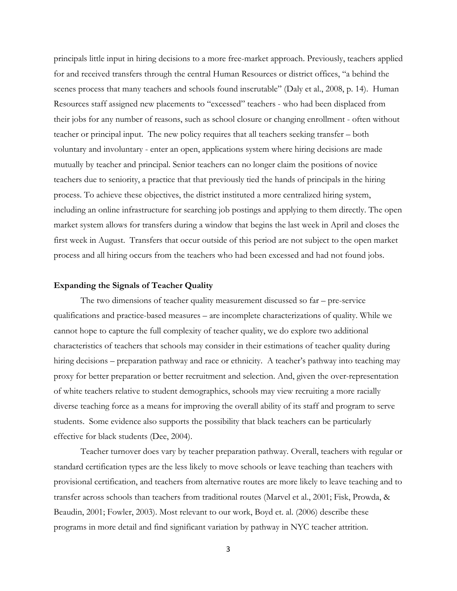principals little input in hiring decisions to a more free-market approach. Previously, teachers applied for and received transfers through the central Human Resources or district offices, "a behind the scenes process that many teachers and schools found inscrutable" (Daly et al., 2008, p. 14). Human Resources staff assigned new placements to "excessed" teachers - who had been displaced from their jobs for any number of reasons, such as school closure or changing enrollment - often without teacher or principal input. The new policy requires that all teachers seeking transfer – both voluntary and involuntary - enter an open, applications system where hiring decisions are made mutually by teacher and principal. Senior teachers can no longer claim the positions of novice teachers due to seniority, a practice that that previously tied the hands of principals in the hiring process. To achieve these objectives, the district instituted a more centralized hiring system, including an online infrastructure for searching job postings and applying to them directly. The open market system allows for transfers during a window that begins the last week in April and closes the first week in August. Transfers that occur outside of this period are not subject to the open market process and all hiring occurs from the teachers who had been excessed and had not found jobs.

#### **Expanding the Signals of Teacher Quality**

The two dimensions of teacher quality measurement discussed so far – pre-service qualifications and practice-based measures – are incomplete characterizations of quality. While we cannot hope to capture the full complexity of teacher quality, we do explore two additional characteristics of teachers that schools may consider in their estimations of teacher quality during hiring decisions – preparation pathway and race or ethnicity. A teacher's pathway into teaching may proxy for better preparation or better recruitment and selection. And, given the over-representation of white teachers relative to student demographics, schools may view recruiting a more racially diverse teaching force as a means for improving the overall ability of its staff and program to serve students. Some evidence also supports the possibility that black teachers can be particularly effective for black students (Dee, 2004).

Teacher turnover does vary by teacher preparation pathway. Overall, teachers with regular or standard certification types are the less likely to move schools or leave teaching than teachers with provisional certification, and teachers from alternative routes are more likely to leave teaching and to transfer across schools than teachers from traditional routes (Marvel et al., 2001; Fisk, Prowda, & Beaudin, 2001; Fowler, 2003). Most relevant to our work, Boyd et. al. (2006) describe these programs in more detail and find significant variation by pathway in NYC teacher attrition.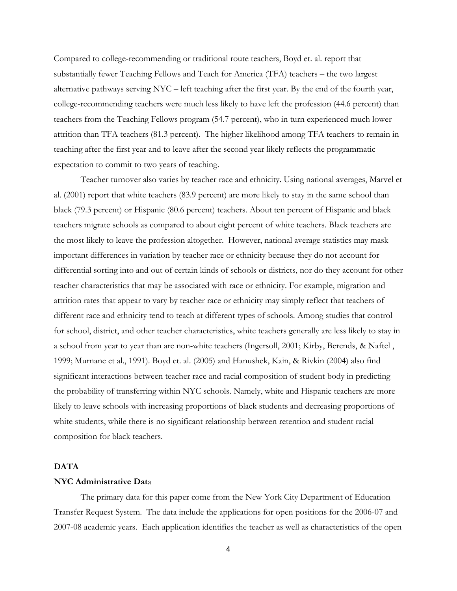Compared to college-recommending or traditional route teachers, Boyd et. al. report that substantially fewer Teaching Fellows and Teach for America (TFA) teachers – the two largest alternative pathways serving NYC – left teaching after the first year. By the end of the fourth year, college-recommending teachers were much less likely to have left the profession (44.6 percent) than teachers from the Teaching Fellows program (54.7 percent), who in turn experienced much lower attrition than TFA teachers (81.3 percent). The higher likelihood among TFA teachers to remain in teaching after the first year and to leave after the second year likely reflects the programmatic expectation to commit to two years of teaching.

Teacher turnover also varies by teacher race and ethnicity. Using national averages, Marvel et al. (2001) report that white teachers (83.9 percent) are more likely to stay in the same school than black (79.3 percent) or Hispanic (80.6 percent) teachers. About ten percent of Hispanic and black teachers migrate schools as compared to about eight percent of white teachers. Black teachers are the most likely to leave the profession altogether. However, national average statistics may mask important differences in variation by teacher race or ethnicity because they do not account for differential sorting into and out of certain kinds of schools or districts, nor do they account for other teacher characteristics that may be associated with race or ethnicity. For example, migration and attrition rates that appear to vary by teacher race or ethnicity may simply reflect that teachers of different race and ethnicity tend to teach at different types of schools. Among studies that control for school, district, and other teacher characteristics, white teachers generally are less likely to stay in a school from year to year than are non-white teachers (Ingersoll, 2001; Kirby, Berends, & Naftel , 1999; Murnane et al., 1991). Boyd et. al. (2005) and Hanushek, Kain, & Rivkin (2004) also find significant interactions between teacher race and racial composition of student body in predicting the probability of transferring within NYC schools. Namely, white and Hispanic teachers are more likely to leave schools with increasing proportions of black students and decreasing proportions of white students, while there is no significant relationship between retention and student racial composition for black teachers.

#### **DATA**

#### **NYC Administrative Dat**a

The primary data for this paper come from the New York City Department of Education Transfer Request System. The data include the applications for open positions for the 2006-07 and 2007-08 academic years. Each application identifies the teacher as well as characteristics of the open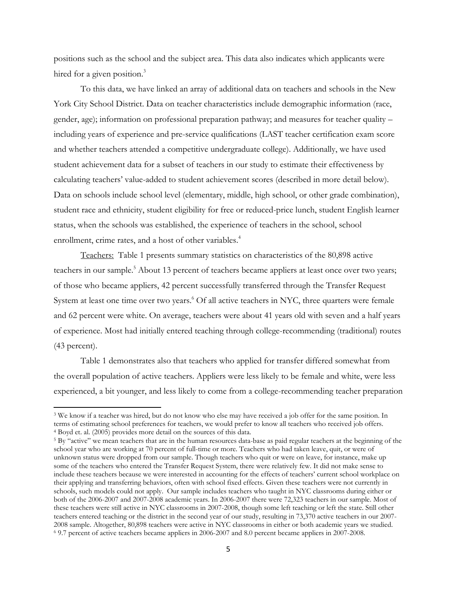positions such as the school and the subject area. This data also indicates which applicants were hired for a given position.<sup>3</sup>

To this data, we have linked an array of additional data on teachers and schools in the New York City School District. Data on teacher characteristics include demographic information (race, gender, age); information on professional preparation pathway; and measures for teacher quality – including years of experience and pre-service qualifications (LAST teacher certification exam score and whether teachers attended a competitive undergraduate college). Additionally, we have used student achievement data for a subset of teachers in our study to estimate their effectiveness by calculating teachers' value-added to student achievement scores (described in more detail below). Data on schools include school level (elementary, middle, high school, or other grade combination), student race and ethnicity, student eligibility for free or reduced-price lunch, student English learner status, when the schools was established, the experience of teachers in the school, school enrollment, crime rates, and a host of other variables.<sup>4</sup>

Teachers: Table 1 presents summary statistics on characteristics of the 80,898 active teachers in our sample.<sup>5</sup> About 13 percent of teachers became appliers at least once over two years; of those who became appliers, 42 percent successfully transferred through the Transfer Request System at least one time over two years.<sup>6</sup> Of all active teachers in NYC, three quarters were female and 62 percent were white. On average, teachers were about 41 years old with seven and a half years of experience. Most had initially entered teaching through college-recommending (traditional) routes (43 percent).

 Table 1 demonstrates also that teachers who applied for transfer differed somewhat from the overall population of active teachers. Appliers were less likely to be female and white, were less experienced, a bit younger, and less likely to come from a college-recommending teacher preparation

<sup>&</sup>lt;sup>3</sup> We know if a teacher was hired, but do not know who else may have received a job offer for the same position. In terms of estimating school preferences for teachers, we would prefer to know all teachers who received job offers.<br><sup>4</sup> Boyd et. al. (2005) provides more detail on the sources of this data.<br><sup>5</sup> By "active" we mean teachers

school year who are working at 70 percent of full-time or more. Teachers who had taken leave, quit, or were of unknown status were dropped from our sample. Though teachers who quit or were on leave, for instance, make up some of the teachers who entered the Transfer Request System, there were relatively few. It did not make sense to include these teachers because we were interested in accounting for the effects of teachers' current school workplace on their applying and transferring behaviors, often with school fixed effects. Given these teachers were not currently in schools, such models could not apply. Our sample includes teachers who taught in NYC classrooms during either or both of the 2006-2007 and 2007-2008 academic years. In 2006-2007 there were 72,323 teachers in our sample. Most of these teachers were still active in NYC classrooms in 2007-2008, though some left teaching or left the state. Still other teachers entered teaching or the district in the second year of our study, resulting in 73,370 active teachers in our 2007- 2008 sample. Altogether, 80,898 teachers were active in NYC classrooms in either or both academic years we studied. 6 9.7 percent of active teachers became appliers in 2006-2007 and 8.0 percent became appliers in 2007-2008.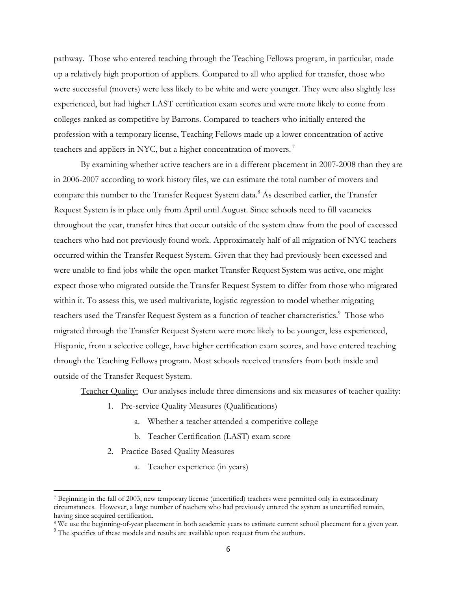pathway. Those who entered teaching through the Teaching Fellows program, in particular, made up a relatively high proportion of appliers. Compared to all who applied for transfer, those who were successful (movers) were less likely to be white and were younger. They were also slightly less experienced, but had higher LAST certification exam scores and were more likely to come from colleges ranked as competitive by Barrons. Compared to teachers who initially entered the profession with a temporary license, Teaching Fellows made up a lower concentration of active teachers and appliers in NYC, but a higher concentration of movers. 7

By examining whether active teachers are in a different placement in 2007-2008 than they are in 2006-2007 according to work history files, we can estimate the total number of movers and compare this number to the Transfer Request System data.<sup>8</sup> As described earlier, the Transfer Request System is in place only from April until August. Since schools need to fill vacancies throughout the year, transfer hires that occur outside of the system draw from the pool of excessed teachers who had not previously found work. Approximately half of all migration of NYC teachers occurred within the Transfer Request System. Given that they had previously been excessed and were unable to find jobs while the open-market Transfer Request System was active, one might expect those who migrated outside the Transfer Request System to differ from those who migrated within it. To assess this, we used multivariate, logistic regression to model whether migrating teachers used the Transfer Request System as a function of teacher characteristics.<sup>9</sup> Those who migrated through the Transfer Request System were more likely to be younger, less experienced, Hispanic, from a selective college, have higher certification exam scores, and have entered teaching through the Teaching Fellows program. Most schools received transfers from both inside and outside of the Transfer Request System.

Teacher Quality: Our analyses include three dimensions and six measures of teacher quality:

- 1. Pre-service Quality Measures (Qualifications)
	- a. Whether a teacher attended a competitive college
	- b. Teacher Certification (LAST) exam score
- 2. Practice-Based Quality Measures

a. Teacher experience (in years)

<sup>7</sup> Beginning in the fall of 2003, new temporary license (uncertified) teachers were permitted only in extraordinary circumstances. However, a large number of teachers who had previously entered the system as uncertified remain, having since acquired certification.<br><sup>8</sup> We use the beginning-of-year placement in both academic years to estimate current school placement for a given year.<br><sup>9</sup> The specifics of these models and results are available upon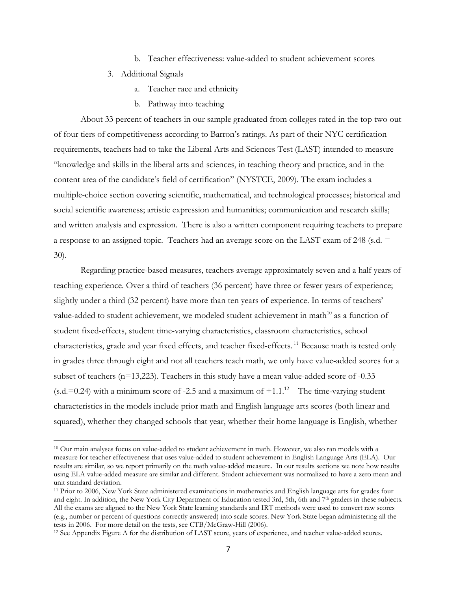- b. Teacher effectiveness: value-added to student achievement scores
- 3. Additional Signals
	- a. Teacher race and ethnicity
	- b. Pathway into teaching

About 33 percent of teachers in our sample graduated from colleges rated in the top two out of four tiers of competitiveness according to Barron's ratings. As part of their NYC certification requirements, teachers had to take the Liberal Arts and Sciences Test (LAST) intended to measure "knowledge and skills in the liberal arts and sciences, in teaching theory and practice, and in the content area of the candidate's field of certification" (NYSTCE, 2009). The exam includes a multiple-choice section covering scientific, mathematical, and technological processes; historical and social scientific awareness; artistic expression and humanities; communication and research skills; and written analysis and expression. There is also a written component requiring teachers to prepare a response to an assigned topic. Teachers had an average score on the LAST exam of 248 (s.d. = 30).

Regarding practice-based measures, teachers average approximately seven and a half years of teaching experience. Over a third of teachers (36 percent) have three or fewer years of experience; slightly under a third (32 percent) have more than ten years of experience. In terms of teachers' value-added to student achievement, we modeled student achievement in math<sup>10</sup> as a function of student fixed-effects, student time-varying characteristics, classroom characteristics, school characteristics, grade and year fixed effects, and teacher fixed-effects.<sup>11</sup> Because math is tested only in grades three through eight and not all teachers teach math, we only have value-added scores for a subset of teachers (n=13,223). Teachers in this study have a mean value-added score of -0.33 (s.d.=0.24) with a minimum score of -2.5 and a maximum of  $+1.1^{12}$  The time-varying student characteristics in the models include prior math and English language arts scores (both linear and squared), whether they changed schools that year, whether their home language is English, whether

 <sup>10</sup> Our main analyses focus on value-added to student achievement in math. However, we also ran models with a measure for teacher effectiveness that uses value-added to student achievement in English Language Arts (ELA). Our results are similar, so we report primarily on the math value-added measure. In our results sections we note how results using ELA value-added measure are similar and different. Student achievement was normalized to have a zero mean and unit standard deviation.

<sup>11</sup> Prior to 2006, New York State administered examinations in mathematics and English language arts for grades four and eight. In addition, the New York City Department of Education tested 3rd, 5th, 6th and 7<sup>th</sup> graders in these subjects. All the exams are aligned to the New York State learning standards and IRT methods were used to convert raw scores (e.g., number or percent of questions correctly answered) into scale scores. New York State began administering all the tests in 2006. For more detail on the tests, see CTB/McGraw-Hill (2006).<br><sup>12</sup> See Appendix Figure A for the distribution of LAST score, years of experience, and teacher value-added scores.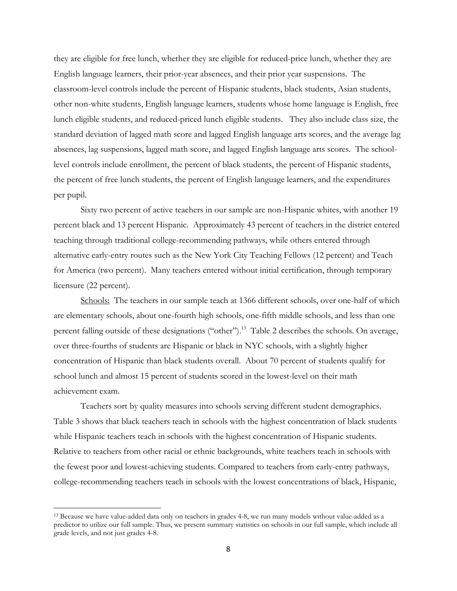they are eligible for free lunch, whether they are eligible for reduced-price lunch, whether they are English language learners, their prior-year absences, and their prior year suspensions. The classroom-level controls include the percent of Hispanic students, black students, Asian students, other non-white students, English language learners, students whose home language is English, free lunch eligible students, and reduced-priced lunch eligible students. They also include class size, the standard deviation of lagged math score and lagged English language arts scores, and the average lag absences, lag suspensions, lagged math score, and lagged English language arts scores. The schoollevel controls include enrollment, the percent of black students, the percent of Hispanic students, the percent of free lunch students, the percent of English language learners, and the expenditures per pupil.

Sixty two percent of active teachers in our sample are non-Hispanic whites, with another 19 percent black and 13 percent Hispanic. Approximately 43 percent of teachers in the district entered teaching through traditional college-recommending pathways, while others entered through alternative early-entry routes such as the New York City Teaching Fellows (12 percent) and Teach for America (two percent). Many teachers entered without initial certification, through temporary licensure (22 percent).

Schools: The teachers in our sample teach at 1366 different schools, over one-half of which are elementary schools, about one-fourth high schools, one-fifth middle schools, and less than one percent falling outside of these designations ("other").<sup>13</sup> Table 2 describes the schools. On average, over three-fourths of students are Hispanic or black in NYC schools, with a slightly higher concentration of Hispanic than black students overall. About 70 percent of students qualify for school lunch and almost 15 percent of students scored in the lowest-level on their math achievement exam.

 Teachers sort by quality measures into schools serving different student demographics. Table 3 shows that black teachers teach in schools with the highest concentration of black students while Hispanic teachers teach in schools with the highest concentration of Hispanic students. Relative to teachers from other racial or ethnic backgrounds, white teachers teach in schools with the fewest poor and lowest-achieving students. Compared to teachers from early-entry pathways, college-recommending teachers teach in schools with the lowest concentrations of black, Hispanic,

<sup>&</sup>lt;sup>13</sup> Because we have value-added data only on teachers in grades 4-8, we run many models without value-added as a predictor to utilize our full sample. Thus, we present summary statistics on schools in our full sample, which include all grade levels, and not just grades 4-8.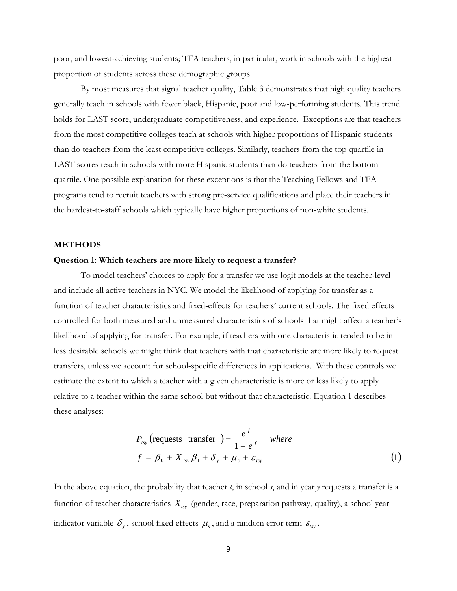poor, and lowest-achieving students; TFA teachers, in particular, work in schools with the highest proportion of students across these demographic groups.

 By most measures that signal teacher quality, Table 3 demonstrates that high quality teachers generally teach in schools with fewer black, Hispanic, poor and low-performing students. This trend holds for LAST score, undergraduate competitiveness, and experience. Exceptions are that teachers from the most competitive colleges teach at schools with higher proportions of Hispanic students than do teachers from the least competitive colleges. Similarly, teachers from the top quartile in LAST scores teach in schools with more Hispanic students than do teachers from the bottom quartile. One possible explanation for these exceptions is that the Teaching Fellows and TFA programs tend to recruit teachers with strong pre-service qualifications and place their teachers in the hardest-to-staff schools which typically have higher proportions of non-white students.

#### **METHODS**

#### **Question 1: Which teachers are more likely to request a transfer?**

To model teachers' choices to apply for a transfer we use logit models at the teacher-level and include all active teachers in NYC. We model the likelihood of applying for transfer as a function of teacher characteristics and fixed-effects for teachers' current schools. The fixed effects controlled for both measured and unmeasured characteristics of schools that might affect a teacher's likelihood of applying for transfer. For example, if teachers with one characteristic tended to be in less desirable schools we might think that teachers with that characteristic are more likely to request transfers, unless we account for school-specific differences in applications. With these controls we estimate the extent to which a teacher with a given characteristic is more or less likely to apply relative to a teacher within the same school but without that characteristic. Equation 1 describes these analyses:

$$
P_{\text{txy}}\left(\text{requests transfer }\right) = \frac{e^f}{1 + e^f} \quad \text{where}
$$
\n
$$
f = \beta_0 + X_{\text{txy}}\beta_1 + \delta_y + \mu_s + \varepsilon_{\text{txy}} \tag{1}
$$

In the above equation, the probability that teacher *t*, in school *s*, and in year *y* requests a transfer is a function of teacher characteristics  $X_{tsy}$  (gender, race, preparation pathway, quality), a school year indicator variable  $\delta_y$ , school fixed effects  $\mu_s$ , and a random error term  $\epsilon_{\text{fyy}}$ .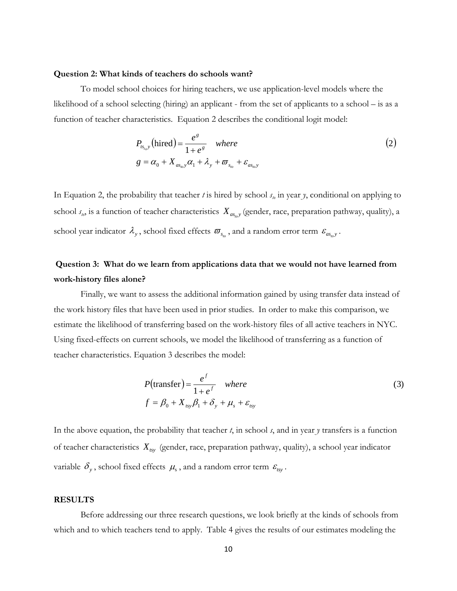#### **Question 2: What kinds of teachers do schools want?**

To model school choices for hiring teachers, we use application-level models where the likelihood of a school selecting (hiring) an applicant - from the set of applicants to a school – is as a function of teacher characteristics. Equation 2 describes the conditional logit model:

$$
P_{ts_{t_o}y}(\text{hired}) = \frac{e^s}{1 + e^s} \quad \text{where}
$$
  
 
$$
g = \alpha_0 + X_{as_{t_o}y}\alpha_1 + \lambda_y + \varpi_{s_o} + \varepsilon_{as_{t_o}y}
$$
 (2)

In Equation 2, the probability that teacher *t* is hired by school  $s<sub>i</sub>$  in year *y*, conditional on applying to school  $s_{\omega}$ , is a function of teacher characteristics  $X_{as_{\omega}y}$  (gender, race, preparation pathway, quality), a school year indicator  $\lambda_y$ , school fixed effects  $\sigma_{s_{\alpha}}$ , and a random error term  $\varepsilon_{a s_{\alpha} y}$ .

# **Question 3: What do we learn from applications data that we would not have learned from work-history files alone?**

Finally, we want to assess the additional information gained by using transfer data instead of the work history files that have been used in prior studies. In order to make this comparison, we estimate the likelihood of transferring based on the work-history files of all active teachers in NYC. Using fixed-effects on current schools, we model the likelihood of transferring as a function of teacher characteristics. Equation 3 describes the model:

$$
P(\text{transfer}) = \frac{e^f}{1 + e^f} \quad \text{where}
$$
  

$$
f = \beta_0 + X_{\text{txy}}\beta_1 + \delta_y + \mu_s + \varepsilon_{\text{txy}}
$$
 (3)

In the above equation, the probability that teacher *t*, in school *s*, and in year *y* transfers is a function of teacher characteristics  $X_{tsy}$  (gender, race, preparation pathway, quality), a school year indicator variable  $\delta_y$ , school fixed effects  $\mu_s$ , and a random error term  $\varepsilon_{\text{txy}}$ .

### **RESULTS**

Before addressing our three research questions, we look briefly at the kinds of schools from which and to which teachers tend to apply. Table 4 gives the results of our estimates modeling the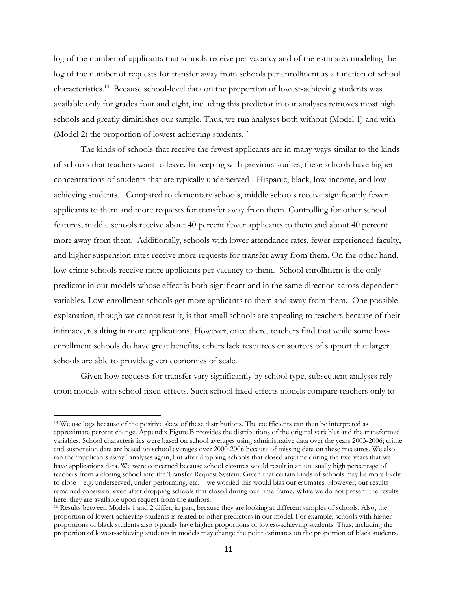log of the number of applicants that schools receive per vacancy and of the estimates modeling the log of the number of requests for transfer away from schools per enrollment as a function of school characteristics.14 Because school-level data on the proportion of lowest-achieving students was available only for grades four and eight, including this predictor in our analyses removes most high schools and greatly diminishes our sample. Thus, we run analyses both without (Model 1) and with (Model 2) the proportion of lowest-achieving students.<sup>15</sup>

The kinds of schools that receive the fewest applicants are in many ways similar to the kinds of schools that teachers want to leave. In keeping with previous studies, these schools have higher concentrations of students that are typically underserved - Hispanic, black, low-income, and lowachieving students. Compared to elementary schools, middle schools receive significantly fewer applicants to them and more requests for transfer away from them. Controlling for other school features, middle schools receive about 40 percent fewer applicants to them and about 40 percent more away from them. Additionally, schools with lower attendance rates, fewer experienced faculty, and higher suspension rates receive more requests for transfer away from them. On the other hand, low-crime schools receive more applicants per vacancy to them. School enrollment is the only predictor in our models whose effect is both significant and in the same direction across dependent variables. Low-enrollment schools get more applicants to them and away from them. One possible explanation, though we cannot test it, is that small schools are appealing to teachers because of their intimacy, resulting in more applications. However, once there, teachers find that while some lowenrollment schools do have great benefits, others lack resources or sources of support that larger schools are able to provide given economies of scale.

Given how requests for transfer vary significantly by school type, subsequent analyses rely upon models with school fixed-effects. Such school fixed-effects models compare teachers only to

<sup>&</sup>lt;sup>14</sup> We use logs because of the positive skew of these distributions. The coefficients can then be interpreted as approximate percent change. Appendix Figure B provides the distributions of the original variables and the transformed variables. School characteristics were based on school averages using administrative data over the years 2003-2006; crime and suspension data are based on school averages over 2000-2006 because of missing data on these measures. We also ran the "applicants away" analyses again, but after dropping schools that closed anytime during the two years that we have applications data. We were concerned because school closures would result in an unusually high percentage of teachers from a closing school into the Transfer Request System. Given that certain kinds of schools may be more likely to close – e.g. underserved, under-performing, etc. – we worried this would bias our estimates. However, our results remained consistent even after dropping schools that closed during our time frame. While we do not present the results here, they are available upon request from the authors.<br><sup>15</sup> Results between Models 1 and 2 differ, in part, because they are looking at different samples of schools. Also, the

proportion of lowest-achieving students is related to other predictors in our model. For example, schools with higher proportions of black students also typically have higher proportions of lowest-achieving students. Thus, including the proportion of lowest-achieving students in models may change the point estimates on the proportion of black students.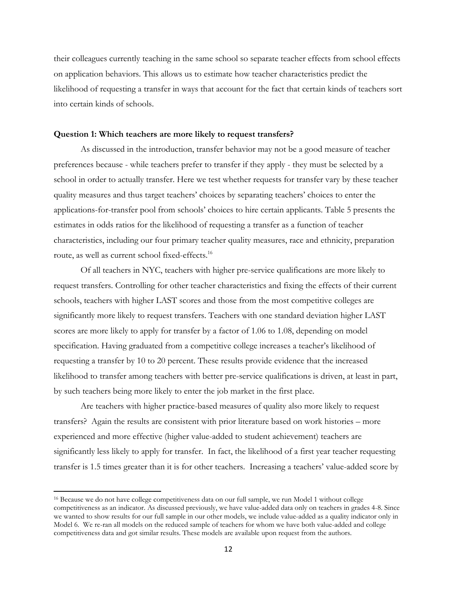their colleagues currently teaching in the same school so separate teacher effects from school effects on application behaviors. This allows us to estimate how teacher characteristics predict the likelihood of requesting a transfer in ways that account for the fact that certain kinds of teachers sort into certain kinds of schools.

#### **Question 1: Which teachers are more likely to request transfers?**

As discussed in the introduction, transfer behavior may not be a good measure of teacher preferences because - while teachers prefer to transfer if they apply - they must be selected by a school in order to actually transfer. Here we test whether requests for transfer vary by these teacher quality measures and thus target teachers' choices by separating teachers' choices to enter the applications-for-transfer pool from schools' choices to hire certain applicants. Table 5 presents the estimates in odds ratios for the likelihood of requesting a transfer as a function of teacher characteristics, including our four primary teacher quality measures, race and ethnicity, preparation route, as well as current school fixed-effects.16

 Of all teachers in NYC, teachers with higher pre-service qualifications are more likely to request transfers. Controlling for other teacher characteristics and fixing the effects of their current schools, teachers with higher LAST scores and those from the most competitive colleges are significantly more likely to request transfers. Teachers with one standard deviation higher LAST scores are more likely to apply for transfer by a factor of 1.06 to 1.08, depending on model specification. Having graduated from a competitive college increases a teacher's likelihood of requesting a transfer by 10 to 20 percent. These results provide evidence that the increased likelihood to transfer among teachers with better pre-service qualifications is driven, at least in part, by such teachers being more likely to enter the job market in the first place.

 Are teachers with higher practice-based measures of quality also more likely to request transfers? Again the results are consistent with prior literature based on work histories – more experienced and more effective (higher value-added to student achievement) teachers are significantly less likely to apply for transfer. In fact, the likelihood of a first year teacher requesting transfer is 1.5 times greater than it is for other teachers. Increasing a teachers' value-added score by

<sup>&</sup>lt;sup>16</sup> Because we do not have college competitiveness data on our full sample, we run Model 1 without college competitiveness as an indicator. As discussed previously, we have value-added data only on teachers in grades 4-8. Since we wanted to show results for our full sample in our other models, we include value-added as a quality indicator only in Model 6. We re-ran all models on the reduced sample of teachers for whom we have both value-added and college competitiveness data and got similar results. These models are available upon request from the authors.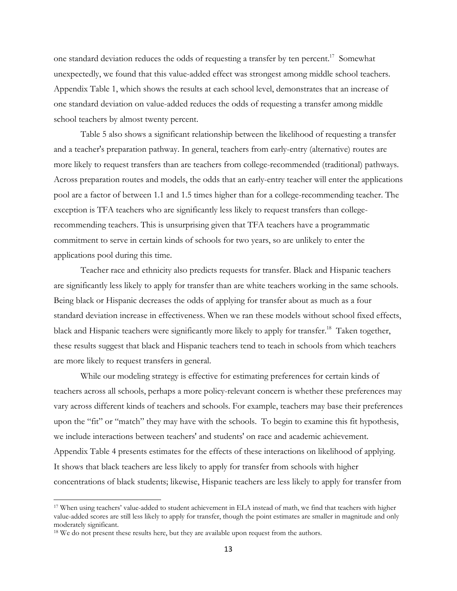one standard deviation reduces the odds of requesting a transfer by ten percent.<sup>17</sup> Somewhat unexpectedly, we found that this value-added effect was strongest among middle school teachers. Appendix Table 1, which shows the results at each school level, demonstrates that an increase of one standard deviation on value-added reduces the odds of requesting a transfer among middle school teachers by almost twenty percent.

Table 5 also shows a significant relationship between the likelihood of requesting a transfer and a teacher's preparation pathway. In general, teachers from early-entry (alternative) routes are more likely to request transfers than are teachers from college-recommended (traditional) pathways. Across preparation routes and models, the odds that an early-entry teacher will enter the applications pool are a factor of between 1.1 and 1.5 times higher than for a college-recommending teacher. The exception is TFA teachers who are significantly less likely to request transfers than collegerecommending teachers. This is unsurprising given that TFA teachers have a programmatic commitment to serve in certain kinds of schools for two years, so are unlikely to enter the applications pool during this time.

 Teacher race and ethnicity also predicts requests for transfer. Black and Hispanic teachers are significantly less likely to apply for transfer than are white teachers working in the same schools. Being black or Hispanic decreases the odds of applying for transfer about as much as a four standard deviation increase in effectiveness. When we ran these models without school fixed effects, black and Hispanic teachers were significantly more likely to apply for transfer.<sup>18</sup> Taken together, these results suggest that black and Hispanic teachers tend to teach in schools from which teachers are more likely to request transfers in general.

 While our modeling strategy is effective for estimating preferences for certain kinds of teachers across all schools, perhaps a more policy-relevant concern is whether these preferences may vary across different kinds of teachers and schools. For example, teachers may base their preferences upon the "fit" or "match" they may have with the schools. To begin to examine this fit hypothesis, we include interactions between teachers' and students' on race and academic achievement. Appendix Table 4 presents estimates for the effects of these interactions on likelihood of applying. It shows that black teachers are less likely to apply for transfer from schools with higher concentrations of black students; likewise, Hispanic teachers are less likely to apply for transfer from

<sup>17</sup> When using teachers' value-added to student achievement in ELA instead of math, we find that teachers with higher value-added scores are still less likely to apply for transfer, though the point estimates are smaller in magnitude and only moderately significant.

<sup>&</sup>lt;sup>18</sup> We do not present these results here, but they are available upon request from the authors.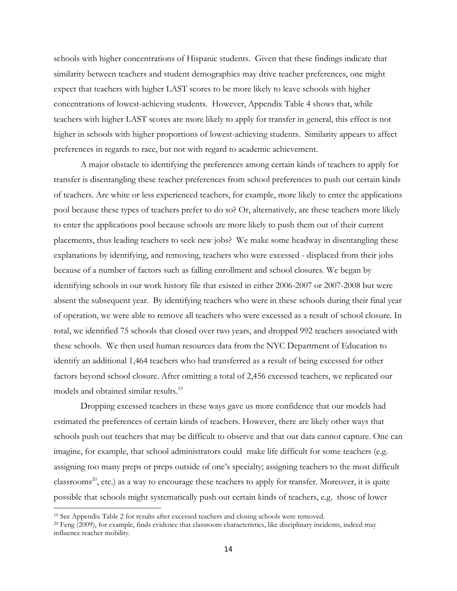schools with higher concentrations of Hispanic students. Given that these findings indicate that similarity between teachers and student demographics may drive teacher preferences, one might expect that teachers with higher LAST scores to be more likely to leave schools with higher concentrations of lowest-achieving students. However, Appendix Table 4 shows that, while teachers with higher LAST scores are more likely to apply for transfer in general, this effect is not higher in schools with higher proportions of lowest-achieving students. Similarity appears to affect preferences in regards to race, but not with regard to academic achievement.

A major obstacle to identifying the preferences among certain kinds of teachers to apply for transfer is disentangling these teacher preferences from school preferences to push out certain kinds of teachers. Are white or less experienced teachers, for example, more likely to enter the applications pool because these types of teachers prefer to do so? Or, alternatively, are these teachers more likely to enter the applications pool because schools are more likely to push them out of their current placements, thus leading teachers to seek new jobs? We make some headway in disentangling these explanations by identifying, and removing, teachers who were excessed - displaced from their jobs because of a number of factors such as falling enrollment and school closures. We began by identifying schools in our work history file that existed in either 2006-2007 or 2007-2008 but were absent the subsequent year. By identifying teachers who were in these schools during their final year of operation, we were able to remove all teachers who were excessed as a result of school closure. In total, we identified 75 schools that closed over two years, and dropped 992 teachers associated with these schools. We then used human resources data from the NYC Department of Education to identify an additional 1,464 teachers who had transferred as a result of being excessed for other factors beyond school closure. After omitting a total of 2,456 excessed teachers, we replicated our models and obtained similar results.19

Dropping excessed teachers in these ways gave us more confidence that our models had estimated the preferences of certain kinds of teachers. However, there are likely other ways that schools push out teachers that may be difficult to observe and that our data cannot capture. One can imagine, for example, that school administrators could make life difficult for some teachers (e.g. assigning too many preps or preps outside of one's specialty; assigning teachers to the most difficult classrooms<sup>20</sup>, etc.) as a way to encourage these teachers to apply for transfer. Moreover, it is quite possible that schools might systematically push out certain kinds of teachers, e.g. those of lower

<sup>&</sup>lt;sup>19</sup> See Appendix Table 2 for results after excessed teachers and closing schools were removed.<br><sup>20</sup> Feng (2009), for example, finds evidence that classroom characteristics, like disciplinary incidents, indeed may influence teacher mobility.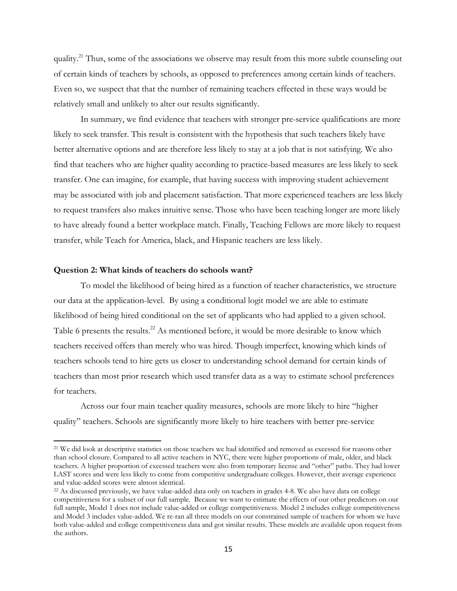quality.<sup>21</sup> Thus, some of the associations we observe may result from this more subtle counseling out of certain kinds of teachers by schools, as opposed to preferences among certain kinds of teachers. Even so, we suspect that that the number of remaining teachers effected in these ways would be relatively small and unlikely to alter our results significantly.

In summary, we find evidence that teachers with stronger pre-service qualifications are more likely to seek transfer. This result is consistent with the hypothesis that such teachers likely have better alternative options and are therefore less likely to stay at a job that is not satisfying. We also find that teachers who are higher quality according to practice-based measures are less likely to seek transfer. One can imagine, for example, that having success with improving student achievement may be associated with job and placement satisfaction. That more experienced teachers are less likely to request transfers also makes intuitive sense. Those who have been teaching longer are more likely to have already found a better workplace match. Finally, Teaching Fellows are more likely to request transfer, while Teach for America, black, and Hispanic teachers are less likely.

### **Question 2: What kinds of teachers do schools want?**

To model the likelihood of being hired as a function of teacher characteristics, we structure our data at the application-level. By using a conditional logit model we are able to estimate likelihood of being hired conditional on the set of applicants who had applied to a given school. Table 6 presents the results.<sup>22</sup> As mentioned before, it would be more desirable to know which teachers received offers than merely who was hired. Though imperfect, knowing which kinds of teachers schools tend to hire gets us closer to understanding school demand for certain kinds of teachers than most prior research which used transfer data as a way to estimate school preferences for teachers.

 Across our four main teacher quality measures, schools are more likely to hire "higher quality" teachers. Schools are significantly more likely to hire teachers with better pre-service

<sup>&</sup>lt;sup>21</sup> We did look at descriptive statistics on those teachers we had identified and removed as excessed for reasons other than school closure. Compared to all active teachers in NYC, there were higher proportions of male, older, and black teachers. A higher proportion of excessed teachers were also from temporary license and "other" paths. They had lower LAST scores and were less likely to come from competitive undergraduate colleges. However, their average experience and value-added scores were almost identical.

<sup>&</sup>lt;sup>22</sup> As discussed previously, we have value-added data only on teachers in grades 4-8. We also have data on college competitiveness for a subset of our full sample. Because we want to estimate the effects of our other predictors on our full sample, Model 1 does not include value-added or college competitiveness. Model 2 includes college competitiveness and Model 3 includes value-added. We re-ran all three models on our constrained sample of teachers for whom we have both value-added and college competitiveness data and got similar results. These models are available upon request from the authors.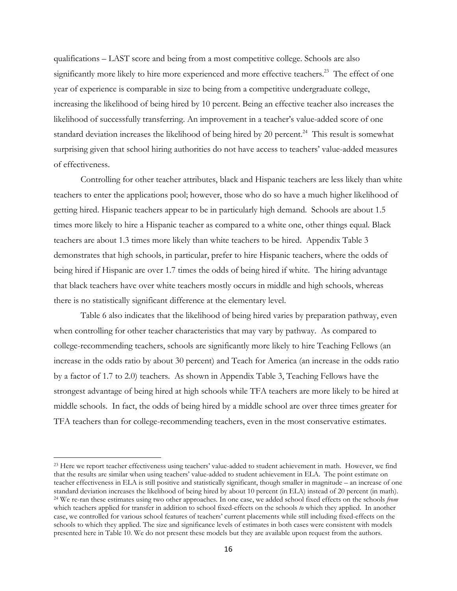qualifications – LAST score and being from a most competitive college. Schools are also significantly more likely to hire more experienced and more effective teachers.<sup>23</sup> The effect of one year of experience is comparable in size to being from a competitive undergraduate college, increasing the likelihood of being hired by 10 percent. Being an effective teacher also increases the likelihood of successfully transferring. An improvement in a teacher's value-added score of one standard deviation increases the likelihood of being hired by 20 percent. $^{24}$  This result is somewhat surprising given that school hiring authorities do not have access to teachers' value-added measures of effectiveness.

Controlling for other teacher attributes, black and Hispanic teachers are less likely than white teachers to enter the applications pool; however, those who do so have a much higher likelihood of getting hired. Hispanic teachers appear to be in particularly high demand. Schools are about 1.5 times more likely to hire a Hispanic teacher as compared to a white one, other things equal. Black teachers are about 1.3 times more likely than white teachers to be hired. Appendix Table 3 demonstrates that high schools, in particular, prefer to hire Hispanic teachers, where the odds of being hired if Hispanic are over 1.7 times the odds of being hired if white. The hiring advantage that black teachers have over white teachers mostly occurs in middle and high schools, whereas there is no statistically significant difference at the elementary level.

Table 6 also indicates that the likelihood of being hired varies by preparation pathway, even when controlling for other teacher characteristics that may vary by pathway. As compared to college-recommending teachers, schools are significantly more likely to hire Teaching Fellows (an increase in the odds ratio by about 30 percent) and Teach for America (an increase in the odds ratio by a factor of 1.7 to 2.0) teachers. As shown in Appendix Table 3, Teaching Fellows have the strongest advantage of being hired at high schools while TFA teachers are more likely to be hired at middle schools. In fact, the odds of being hired by a middle school are over three times greater for TFA teachers than for college-recommending teachers, even in the most conservative estimates.

<sup>&</sup>lt;sup>23</sup> Here we report teacher effectiveness using teachers' value-added to student achievement in math. However, we find that the results are similar when using teachers' value-added to student achievement in ELA. The point estimate on teacher effectiveness in ELA is still positive and statistically significant, though smaller in magnitude – an increase of one standard deviation increases the likelihood of being hired by about 10 percent (in ELA) instead <sup>24</sup> We re-ran these estimates using two other approaches. In one case, we added school fixed effects on the schools *from* which teachers applied for transfer in addition to school fixed-effects on the schools *to* which they applied. In another case, we controlled for various school features of teachers' current placements while still including fixed-effects on the schools to which they applied. The size and significance levels of estimates in both cases were consistent with models presented here in Table 10. We do not present these models but they are available upon request from the authors.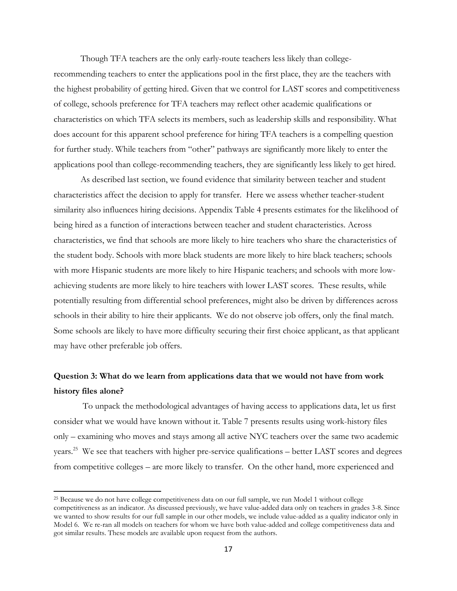Though TFA teachers are the only early-route teachers less likely than collegerecommending teachers to enter the applications pool in the first place, they are the teachers with the highest probability of getting hired. Given that we control for LAST scores and competitiveness of college, schools preference for TFA teachers may reflect other academic qualifications or characteristics on which TFA selects its members, such as leadership skills and responsibility. What does account for this apparent school preference for hiring TFA teachers is a compelling question for further study. While teachers from "other" pathways are significantly more likely to enter the applications pool than college-recommending teachers, they are significantly less likely to get hired.

As described last section, we found evidence that similarity between teacher and student characteristics affect the decision to apply for transfer. Here we assess whether teacher-student similarity also influences hiring decisions. Appendix Table 4 presents estimates for the likelihood of being hired as a function of interactions between teacher and student characteristics. Across characteristics, we find that schools are more likely to hire teachers who share the characteristics of the student body. Schools with more black students are more likely to hire black teachers; schools with more Hispanic students are more likely to hire Hispanic teachers; and schools with more lowachieving students are more likely to hire teachers with lower LAST scores. These results, while potentially resulting from differential school preferences, might also be driven by differences across schools in their ability to hire their applicants. We do not observe job offers, only the final match. Some schools are likely to have more difficulty securing their first choice applicant, as that applicant may have other preferable job offers.

# **Question 3: What do we learn from applications data that we would not have from work history files alone?**

To unpack the methodological advantages of having access to applications data, let us first consider what we would have known without it. Table 7 presents results using work-history files only – examining who moves and stays among all active NYC teachers over the same two academic years.<sup>25</sup> We see that teachers with higher pre-service qualifications – better LAST scores and degrees from competitive colleges – are more likely to transfer. On the other hand, more experienced and

<sup>&</sup>lt;sup>25</sup> Because we do not have college competitiveness data on our full sample, we run Model 1 without college competitiveness as an indicator. As discussed previously, we have value-added data only on teachers in grades 3-8. Since we wanted to show results for our full sample in our other models, we include value-added as a quality indicator only in Model 6. We re-ran all models on teachers for whom we have both value-added and college competitiveness data and got similar results. These models are available upon request from the authors.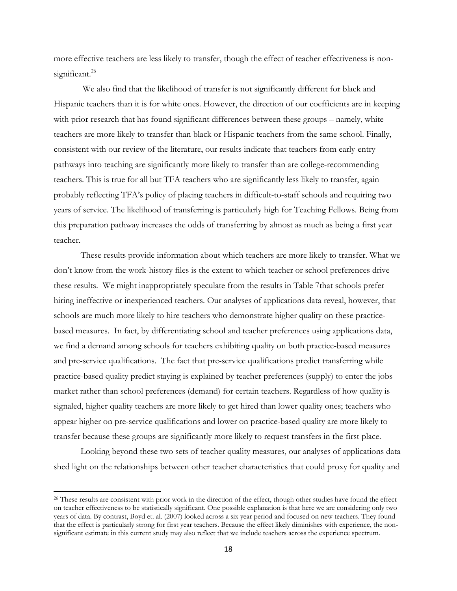more effective teachers are less likely to transfer, though the effect of teacher effectiveness is nonsignificant.<sup>26</sup>

 We also find that the likelihood of transfer is not significantly different for black and Hispanic teachers than it is for white ones. However, the direction of our coefficients are in keeping with prior research that has found significant differences between these groups – namely, white teachers are more likely to transfer than black or Hispanic teachers from the same school. Finally, consistent with our review of the literature, our results indicate that teachers from early-entry pathways into teaching are significantly more likely to transfer than are college-recommending teachers. This is true for all but TFA teachers who are significantly less likely to transfer, again probably reflecting TFA's policy of placing teachers in difficult-to-staff schools and requiring two years of service. The likelihood of transferring is particularly high for Teaching Fellows. Being from this preparation pathway increases the odds of transferring by almost as much as being a first year teacher.

These results provide information about which teachers are more likely to transfer. What we don't know from the work-history files is the extent to which teacher or school preferences drive these results. We might inappropriately speculate from the results in Table 7that schools prefer hiring ineffective or inexperienced teachers. Our analyses of applications data reveal, however, that schools are much more likely to hire teachers who demonstrate higher quality on these practicebased measures. In fact, by differentiating school and teacher preferences using applications data, we find a demand among schools for teachers exhibiting quality on both practice-based measures and pre-service qualifications. The fact that pre-service qualifications predict transferring while practice-based quality predict staying is explained by teacher preferences (supply) to enter the jobs market rather than school preferences (demand) for certain teachers. Regardless of how quality is signaled, higher quality teachers are more likely to get hired than lower quality ones; teachers who appear higher on pre-service qualifications and lower on practice-based quality are more likely to transfer because these groups are significantly more likely to request transfers in the first place.

Looking beyond these two sets of teacher quality measures, our analyses of applications data shed light on the relationships between other teacher characteristics that could proxy for quality and

<sup>&</sup>lt;sup>26</sup> These results are consistent with prior work in the direction of the effect, though other studies have found the effect on teacher effectiveness to be statistically significant. One possible explanation is that here we are considering only two years of data. By contrast, Boyd et. al. (2007) looked across a six year period and focused on new teachers. They found that the effect is particularly strong for first year teachers. Because the effect likely diminishes with experience, the nonsignificant estimate in this current study may also reflect that we include teachers across the experience spectrum.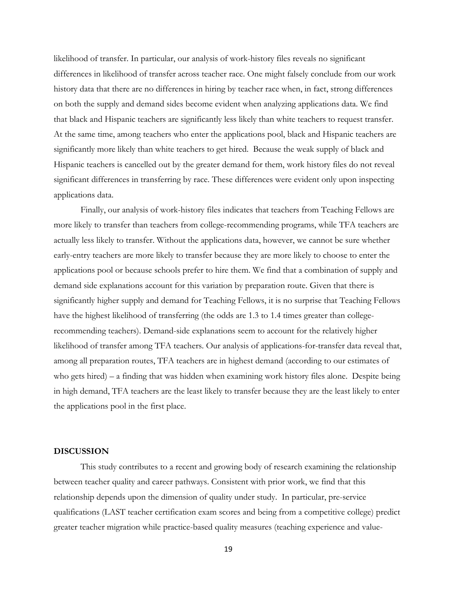likelihood of transfer. In particular, our analysis of work-history files reveals no significant differences in likelihood of transfer across teacher race. One might falsely conclude from our work history data that there are no differences in hiring by teacher race when, in fact, strong differences on both the supply and demand sides become evident when analyzing applications data. We find that black and Hispanic teachers are significantly less likely than white teachers to request transfer. At the same time, among teachers who enter the applications pool, black and Hispanic teachers are significantly more likely than white teachers to get hired. Because the weak supply of black and Hispanic teachers is cancelled out by the greater demand for them, work history files do not reveal significant differences in transferring by race. These differences were evident only upon inspecting applications data.

Finally, our analysis of work-history files indicates that teachers from Teaching Fellows are more likely to transfer than teachers from college-recommending programs, while TFA teachers are actually less likely to transfer. Without the applications data, however, we cannot be sure whether early-entry teachers are more likely to transfer because they are more likely to choose to enter the applications pool or because schools prefer to hire them. We find that a combination of supply and demand side explanations account for this variation by preparation route. Given that there is significantly higher supply and demand for Teaching Fellows, it is no surprise that Teaching Fellows have the highest likelihood of transferring (the odds are 1.3 to 1.4 times greater than collegerecommending teachers). Demand-side explanations seem to account for the relatively higher likelihood of transfer among TFA teachers. Our analysis of applications-for-transfer data reveal that, among all preparation routes, TFA teachers are in highest demand (according to our estimates of who gets hired) – a finding that was hidden when examining work history files alone. Despite being in high demand, TFA teachers are the least likely to transfer because they are the least likely to enter the applications pool in the first place.

#### **DISCUSSION**

This study contributes to a recent and growing body of research examining the relationship between teacher quality and career pathways. Consistent with prior work, we find that this relationship depends upon the dimension of quality under study. In particular, pre-service qualifications (LAST teacher certification exam scores and being from a competitive college) predict greater teacher migration while practice-based quality measures (teaching experience and value-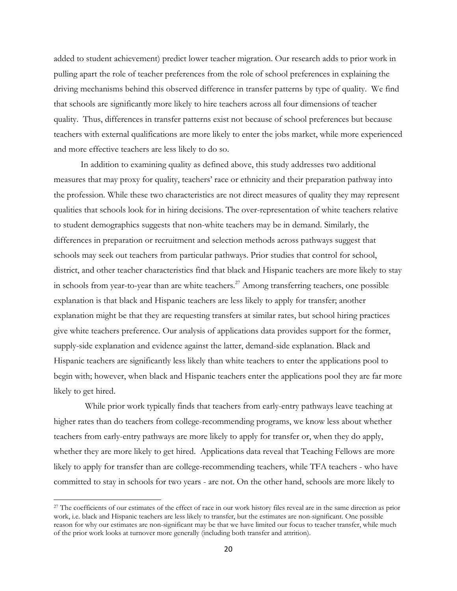added to student achievement) predict lower teacher migration. Our research adds to prior work in pulling apart the role of teacher preferences from the role of school preferences in explaining the driving mechanisms behind this observed difference in transfer patterns by type of quality. We find that schools are significantly more likely to hire teachers across all four dimensions of teacher quality. Thus, differences in transfer patterns exist not because of school preferences but because teachers with external qualifications are more likely to enter the jobs market, while more experienced and more effective teachers are less likely to do so.

In addition to examining quality as defined above, this study addresses two additional measures that may proxy for quality, teachers' race or ethnicity and their preparation pathway into the profession. While these two characteristics are not direct measures of quality they may represent qualities that schools look for in hiring decisions. The over-representation of white teachers relative to student demographics suggests that non-white teachers may be in demand. Similarly, the differences in preparation or recruitment and selection methods across pathways suggest that schools may seek out teachers from particular pathways. Prior studies that control for school, district, and other teacher characteristics find that black and Hispanic teachers are more likely to stay in schools from year-to-year than are white teachers.<sup>27</sup> Among transferring teachers, one possible explanation is that black and Hispanic teachers are less likely to apply for transfer; another explanation might be that they are requesting transfers at similar rates, but school hiring practices give white teachers preference. Our analysis of applications data provides support for the former, supply-side explanation and evidence against the latter, demand-side explanation. Black and Hispanic teachers are significantly less likely than white teachers to enter the applications pool to begin with; however, when black and Hispanic teachers enter the applications pool they are far more likely to get hired.

 While prior work typically finds that teachers from early-entry pathways leave teaching at higher rates than do teachers from college-recommending programs, we know less about whether teachers from early-entry pathways are more likely to apply for transfer or, when they do apply, whether they are more likely to get hired. Applications data reveal that Teaching Fellows are more likely to apply for transfer than are college-recommending teachers, while TFA teachers - who have committed to stay in schools for two years - are not. On the other hand, schools are more likely to

<sup>&</sup>lt;sup>27</sup> The coefficients of our estimates of the effect of race in our work history files reveal are in the same direction as prior work, i.e. black and Hispanic teachers are less likely to transfer, but the estimates are non-significant. One possible reason for why our estimates are non-significant may be that we have limited our focus to teacher transfer, while much of the prior work looks at turnover more generally (including both transfer and attrition).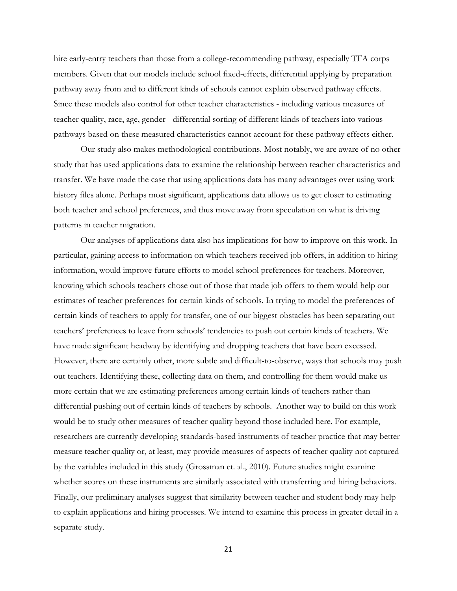hire early-entry teachers than those from a college-recommending pathway, especially TFA corps members. Given that our models include school fixed-effects, differential applying by preparation pathway away from and to different kinds of schools cannot explain observed pathway effects. Since these models also control for other teacher characteristics - including various measures of teacher quality, race, age, gender - differential sorting of different kinds of teachers into various pathways based on these measured characteristics cannot account for these pathway effects either.

Our study also makes methodological contributions. Most notably, we are aware of no other study that has used applications data to examine the relationship between teacher characteristics and transfer. We have made the case that using applications data has many advantages over using work history files alone. Perhaps most significant, applications data allows us to get closer to estimating both teacher and school preferences, and thus move away from speculation on what is driving patterns in teacher migration.

Our analyses of applications data also has implications for how to improve on this work. In particular, gaining access to information on which teachers received job offers, in addition to hiring information, would improve future efforts to model school preferences for teachers. Moreover, knowing which schools teachers chose out of those that made job offers to them would help our estimates of teacher preferences for certain kinds of schools. In trying to model the preferences of certain kinds of teachers to apply for transfer, one of our biggest obstacles has been separating out teachers' preferences to leave from schools' tendencies to push out certain kinds of teachers. We have made significant headway by identifying and dropping teachers that have been excessed. However, there are certainly other, more subtle and difficult-to-observe, ways that schools may push out teachers. Identifying these, collecting data on them, and controlling for them would make us more certain that we are estimating preferences among certain kinds of teachers rather than differential pushing out of certain kinds of teachers by schools. Another way to build on this work would be to study other measures of teacher quality beyond those included here. For example, researchers are currently developing standards-based instruments of teacher practice that may better measure teacher quality or, at least, may provide measures of aspects of teacher quality not captured by the variables included in this study (Grossman et. al., 2010). Future studies might examine whether scores on these instruments are similarly associated with transferring and hiring behaviors. Finally, our preliminary analyses suggest that similarity between teacher and student body may help to explain applications and hiring processes. We intend to examine this process in greater detail in a separate study.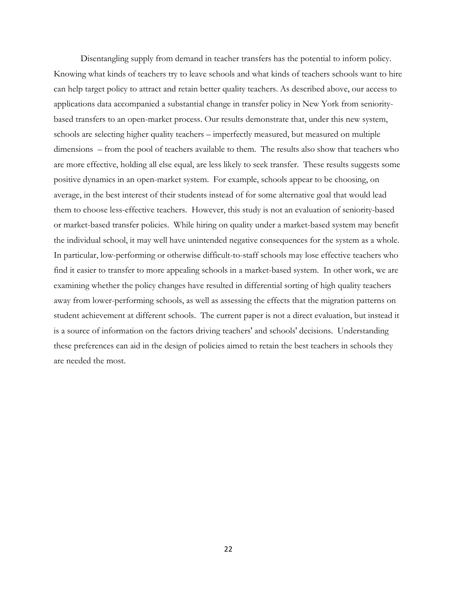Disentangling supply from demand in teacher transfers has the potential to inform policy. Knowing what kinds of teachers try to leave schools and what kinds of teachers schools want to hire can help target policy to attract and retain better quality teachers. As described above, our access to applications data accompanied a substantial change in transfer policy in New York from senioritybased transfers to an open-market process. Our results demonstrate that, under this new system, schools are selecting higher quality teachers – imperfectly measured, but measured on multiple dimensions – from the pool of teachers available to them. The results also show that teachers who are more effective, holding all else equal, are less likely to seek transfer. These results suggests some positive dynamics in an open-market system. For example, schools appear to be choosing, on average, in the best interest of their students instead of for some alternative goal that would lead them to choose less-effective teachers. However, this study is not an evaluation of seniority-based or market-based transfer policies. While hiring on quality under a market-based system may benefit the individual school, it may well have unintended negative consequences for the system as a whole. In particular, low-performing or otherwise difficult-to-staff schools may lose effective teachers who find it easier to transfer to more appealing schools in a market-based system. In other work, we are examining whether the policy changes have resulted in differential sorting of high quality teachers away from lower-performing schools, as well as assessing the effects that the migration patterns on student achievement at different schools. The current paper is not a direct evaluation, but instead it is a source of information on the factors driving teachers' and schools' decisions. Understanding these preferences can aid in the design of policies aimed to retain the best teachers in schools they are needed the most.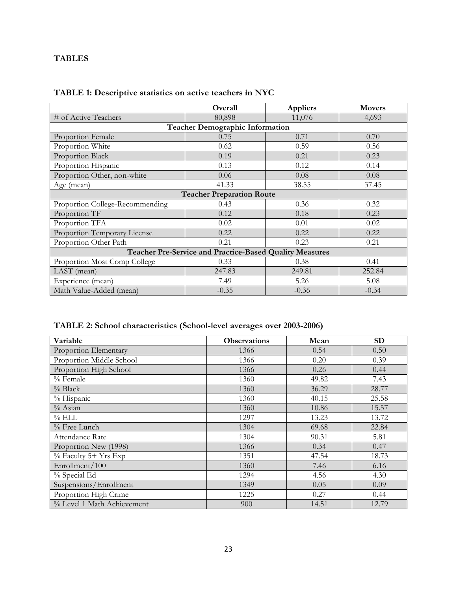# **TABLES**

|                                                                | Overall                                | <b>Appliers</b> | <b>Movers</b> |  |  |  |
|----------------------------------------------------------------|----------------------------------------|-----------------|---------------|--|--|--|
| # of Active Teachers                                           | 80,898                                 | 11,076          | 4,693         |  |  |  |
|                                                                | <b>Teacher Demographic Information</b> |                 |               |  |  |  |
| Proportion Female                                              | 0.75                                   | 0.71            | 0.70          |  |  |  |
| Proportion White                                               | 0.62                                   | 0.59            | 0.56          |  |  |  |
| Proportion Black                                               | 0.19                                   | 0.21            | 0.23          |  |  |  |
| Proportion Hispanic                                            | 0.13                                   | 0.12            | 0.14          |  |  |  |
| Proportion Other, non-white                                    | 0.06                                   | 0.08            | 0.08          |  |  |  |
| Age (mean)                                                     | 41.33                                  | 38.55           | 37.45         |  |  |  |
|                                                                | <b>Teacher Preparation Route</b>       |                 |               |  |  |  |
| Proportion College-Recommending                                | 0.43                                   | 0.36            | 0.32          |  |  |  |
| Proportion TF                                                  | 0.12                                   | 0.18            | 0.23          |  |  |  |
| Proportion TFA                                                 | 0.02                                   | 0.01            | 0.02          |  |  |  |
| Proportion Temporary License                                   | 0.22                                   | 0.22            | 0.22          |  |  |  |
| Proportion Other Path                                          | 0.21                                   | 0.23            | 0.21          |  |  |  |
| <b>Teacher Pre-Service and Practice-Based Quality Measures</b> |                                        |                 |               |  |  |  |
| Proportion Most Comp College                                   | 0.33                                   | 0.38            | 0.41          |  |  |  |
| LAST (mean)                                                    | 247.83                                 | 249.81          | 252.84        |  |  |  |
| Experience (mean)                                              | 7.49                                   | 5.26            | 5.08          |  |  |  |
| Math Value-Added (mean)                                        | $-0.35$                                | $-0.36$         | $-0.34$       |  |  |  |

# **TABLE 1: Descriptive statistics on active teachers in NYC**

**TABLE 2: School characteristics (School-level averages over 2003-2006)**

| Variable                   | <b>Observations</b> | Mean  | <b>SD</b> |
|----------------------------|---------------------|-------|-----------|
| Proportion Elementary      | 1366                | 0.54  | 0.50      |
| Proportion Middle School   | 1366                | 0.20  | 0.39      |
| Proportion High School     | 1366                | 0.26  | 0.44      |
| $\%$ Female                | 1360                | 49.82 | 7.43      |
| % Black                    | 1360                | 36.29 | 28.77     |
| % Hispanic                 | 1360                | 40.15 | 25.58     |
| % Asian                    | 1360                | 10.86 | 15.57     |
| $%$ ELL                    | 1297                | 13.23 | 13.72     |
| $%$ Free Lunch             | 1304                | 69.68 | 22.84     |
| Attendance Rate            | 1304                | 90.31 | 5.81      |
| Proportion New (1998)      | 1366                | 0.34  | 0.47      |
| $%$ Faculty 5+ Yrs Exp     | 1351                | 47.54 | 18.73     |
| Enrollment/100             | 1360                | 7.46  | 6.16      |
| % Special Ed               | 1294                | 4.56  | 4.30      |
| Suspensions/Enrollment     | 1349                | 0.05  | 0.09      |
| Proportion High Crime      | 1225                | 0.27  | 0.44      |
| % Level 1 Math Achievement | 900                 | 14.51 | 12.79     |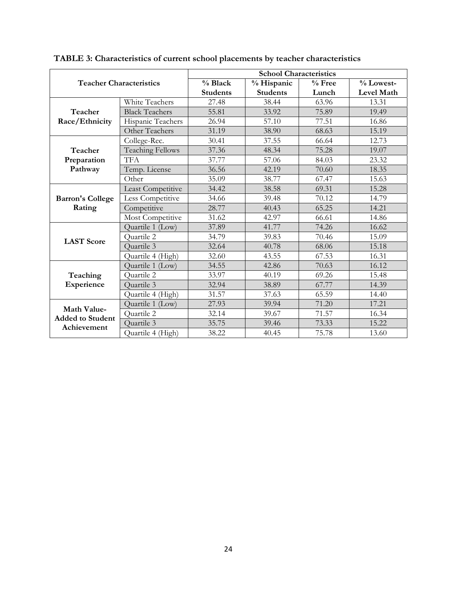|                                               |                                | <b>School Characteristics</b> |                 |          |                   |  |  |  |
|-----------------------------------------------|--------------------------------|-------------------------------|-----------------|----------|-------------------|--|--|--|
|                                               | <b>Teacher Characteristics</b> | % Black                       | % Hispanic      | $%$ Free | % Lowest-         |  |  |  |
|                                               |                                | <b>Students</b>               | <b>Students</b> | Lunch    | <b>Level Math</b> |  |  |  |
|                                               | White Teachers                 | 27.48                         | 38.44           | 63.96    | 13.31             |  |  |  |
| Teacher                                       | <b>Black Teachers</b>          | 55.81                         | 33.92           | 75.89    | 19.49             |  |  |  |
| Race/Ethnicity                                | Hispanic Teachers              | 26.94                         | 57.10           | 77.51    | 16.86             |  |  |  |
|                                               | Other Teachers                 | 31.19                         | 38.90           | 68.63    | 15.19             |  |  |  |
|                                               | College-Rec.                   | 30.41                         | 37.55           | 66.64    | 12.73             |  |  |  |
| Teacher                                       | <b>Teaching Fellows</b>        | 37.36                         | 48.34           | 75.28    | 19.07             |  |  |  |
| Preparation                                   | <b>TFA</b>                     | 37.77                         | 57.06           | 84.03    | 23.32             |  |  |  |
| Pathway                                       | Temp. License                  | 36.56                         | 42.19           | 70.60    | 18.35             |  |  |  |
|                                               | Other                          | 35.09                         | 38.77           | 67.47    | 15.63             |  |  |  |
|                                               | Least Competitive              | 34.42                         | 38.58           | 69.31    | 15.28             |  |  |  |
| <b>Barron's College</b><br>Rating             | Less Competitive               | 34.66                         | 39.48           | 70.12    | 14.79             |  |  |  |
|                                               | Competitive                    | 28.77                         | 40.43           | 65.25    | 14.21             |  |  |  |
|                                               | Most Competitive               | 31.62                         | 42.97           | 66.61    | 14.86             |  |  |  |
|                                               | Quartile 1 (Low)               | 37.89                         | 41.77           | 74.26    | 16.62             |  |  |  |
| <b>LAST</b> Score                             | Quartile 2                     | 34.79                         | 39.83           | 70.46    | 15.09             |  |  |  |
|                                               | Quartile 3                     | 32.64                         | 40.78           | 68.06    | 15.18             |  |  |  |
|                                               | Quartile 4 (High)              | 32.60                         | 43.55           | 67.53    | 16.31             |  |  |  |
|                                               | Quartile 1 (Low)               | 34.55                         | 42.86           | 70.63    | 16.12             |  |  |  |
| Teaching                                      | Quartile 2                     | 33.97                         | 40.19           | 69.26    | 15.48             |  |  |  |
| Experience                                    | Quartile 3                     | 32.94                         | 38.89           | 67.77    | 14.39             |  |  |  |
|                                               | Quartile 4 (High)              | 31.57                         | 37.63           | 65.59    | 14.40             |  |  |  |
|                                               | Quartile 1 (Low)               | 27.93                         | 39.94           | 71.20    | 17.21             |  |  |  |
| <b>Math Value-</b><br><b>Added to Student</b> | Quartile 2                     | 32.14                         | 39.67           | 71.57    | 16.34             |  |  |  |
| Achievement                                   | Quartile 3                     | 35.75                         | 39.46           | 73.33    | 15.22             |  |  |  |
|                                               | Quartile 4 (High)              | 38.22                         | 40.45           | 75.78    | 13.60             |  |  |  |

**TABLE 3: Characteristics of current school placements by teacher characteristics**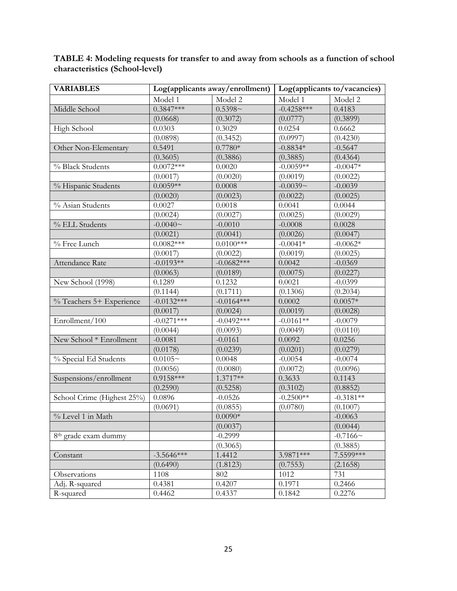**VARIABLES Log(applicants away/enrollment) Log(applicants to/vacancies)** | Model 1 | Model 2 | Model 2 | Model 2 | Model 2 Middle School 0.3847\*\*\* 0.5398~ -0.4258\*\*\* 0.4183  $(0.0668)$   $(0.3072)$   $(0.0777)$   $(0.3899)$ High School 0.0303 0.3029 0.0254 0.6662  $(0.0898)$   $(0.3452)$   $(0.0997)$   $(0.4230)$ Other Non-Elementary  $0.5491$  0.7780\*  $0.8834*$  -0.5647  $(0.3605)$   $(0.3886)$   $(0.3885)$   $(0.4364)$ % Black Students  $(0.0072*** \t 0.0020 \t -0.0059** \t -0.0047*$  $(0.0017)$   $(0.0020)$   $(0.0019)$   $(0.0022)$ % Hispanic Students  $0.0059**$  0.0008  $\downarrow 0.0039$  -0.0039 -0.0039  $(0.0020)$   $(0.0023)$   $(0.0022)$   $(0.0025)$ % Asian Students 0.0027 0.0018 0.0041 0.0044  $(0.0024)$   $(0.0027)$   $(0.0025)$   $(0.0029)$ % ELL Students  $-0.0040 \sim 0.0010 = 0.0008 = 0.0028$  $(0.0021)$   $(0.0041)$   $(0.0026)$   $(0.0047)$ % Free Lunch  $(0.0082***$   $(0.0100***$   $-0.0041*$   $-0.0062*$  $(0.0017)$   $(0.0022)$   $(0.0019)$   $(0.0025)$ Attendance Rate  $\Big| 0.0193** \Big| 0.0682*** \Big| 0.0042 \Big| 0.0369$  $(0.0063)$   $(0.0189)$   $(0.0075)$   $(0.0227)$ New School (1998) 0.1289 0.1232 0.0021 -0.0399  $\vert$  (0.1144)  $\vert$  (0.1711)  $\vert$  (0.1306) (0.2034) % Teachers 5+ Experience  $-0.0132***$   $-0.0164***$  0.0002 0.0057\*  $(0.0017)$   $(0.0024)$   $(0.0019)$   $(0.0028)$ Enrollment/100  $-0.0271***$   $-0.0492***$   $-0.0161**$   $-0.0079$  $(0.0044)$   $(0.0093)$   $(0.0049)$   $(0.0110)$ New School \* Enrollment | -0.0081 | -0.0161 | 0.0092 | 0.0256  $(0.0178)$   $(0.0239)$   $(0.0201)$   $(0.0279)$ % Special Ed Students 0.0105~ 0.0048 -0.0054 -0.0074  $(0.0056)$   $(0.0080)$   $(0.0072)$   $(0.0096)$ Suspensions/enrollment 0.9158\*\*\* 1.3717\*\* 0.3633 0.1143  $(0.2590)$   $(0.5258)$   $(0.3102)$   $(0.8852)$ School Crime (Highest 25%) | 0.0896  $\vert$  -0.0526  $\vert$  -0.2500\*\*  $\vert$  -0.3181\*\*  $(0.0691)$   $(0.0855)$   $(0.0780)$   $(0.1007)$ % Level 1 in Math 0.0090\* -0.0063  $(0.0037)$   $(0.0044)$  $8<sup>th</sup>$  grade exam dummy  $-0.2999$   $-0.7166$   $-0.7166$  $(0.3065)$  (0.3885) Constant 1.4412 3.9871\*\*\* 7.5599\*\*\*  $(0.6490)$  (1.8123)  $(0.7553)$  (2.1658) Observations 1108 802 1012 731

**TABLE 4: Modeling requests for transfer to and away from schools as a function of school characteristics (School-level)** 

Adj. R-squared 1 0.4381 0.4207 0.1971 0.2466 R-squared 10.4462 0.4337 0.1842 0.2276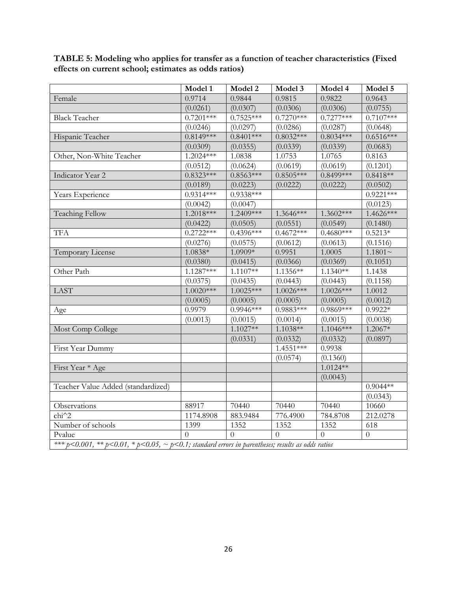**TABLE 5: Modeling who applies for transfer as a function of teacher characteristics (Fixed effects on current school; estimates as odds ratios)** 

|                                                                                                   | Model 1     | Model 2     | Model 3     | Model 4     | Model 5        |  |  |
|---------------------------------------------------------------------------------------------------|-------------|-------------|-------------|-------------|----------------|--|--|
| Female                                                                                            | 0.9714      | 0.9844      | 0.9815      | 0.9822      | 0.9643         |  |  |
|                                                                                                   | (0.0261)    | (0.0307)    | (0.0306)    | (0.0306)    | (0.0755)       |  |  |
| <b>Black Teacher</b>                                                                              | $0.7201***$ | $0.7525***$ | $0.7270***$ | $0.7277***$ | $0.7107***$    |  |  |
|                                                                                                   | (0.0246)    | (0.0297)    | (0.0286)    | (0.0287)    | (0.0648)       |  |  |
| Hispanic Teacher                                                                                  | $0.8149***$ | $0.8401***$ | $0.8032***$ | $0.8034***$ | $0.6516***$    |  |  |
|                                                                                                   | (0.0309)    | (0.0355)    | (0.0339)    | (0.0339)    | (0.0683)       |  |  |
| Other, Non-White Teacher                                                                          | $1.2024***$ | 1.0838      | 1.0753      | 1.0765      | 0.8163         |  |  |
|                                                                                                   | (0.0512)    | (0.0624)    | (0.0619)    | (0.0619)    | (0.1201)       |  |  |
| Indicator Year 2                                                                                  | $0.8323***$ | $0.8563***$ | $0.8505***$ | $0.8499***$ | $0.8418**$     |  |  |
|                                                                                                   | (0.0189)    | (0.0223)    | (0.0222)    | (0.0222)    | (0.0502)       |  |  |
| Years Experience                                                                                  | $0.9314***$ | $0.9338***$ |             |             | $0.9221***$    |  |  |
|                                                                                                   | (0.0042)    | (0.0047)    |             |             | (0.0123)       |  |  |
| <b>Teaching Fellow</b>                                                                            | 1.2018 ***  | $1.2409***$ | 1.3646***   | $1.3602***$ | 1.4626 ***     |  |  |
|                                                                                                   | (0.0422)    | (0.0505)    | (0.0551)    | (0.0549)    | (0.1480)       |  |  |
| <b>TFA</b>                                                                                        | $0.2722***$ | $0.4396***$ | $0.4672***$ | $0.4680***$ | $0.5213*$      |  |  |
|                                                                                                   | (0.0276)    | (0.0575)    | (0.0612)    | (0.0613)    | (0.1516)       |  |  |
| Temporary License                                                                                 | 1.0838*     | 1.0909*     | 0.9951      | 1.0005      | $1.1801 \sim$  |  |  |
|                                                                                                   | (0.0380)    | (0.0415)    | (0.0366)    | (0.0369)    | (0.1051)       |  |  |
| Other Path                                                                                        | 1.1287***   | $1.1107**$  | 1.1356**    | $1.1340**$  | 1.1438         |  |  |
|                                                                                                   | (0.0375)    | (0.0435)    | (0.0443)    | (0.0443)    | (0.1158)       |  |  |
| <b>LAST</b>                                                                                       | $1.0020***$ | $1.0025***$ | $1.0026***$ | $1.0026***$ | 1.0012         |  |  |
|                                                                                                   | (0.0005)    | (0.0005)    | (0.0005)    | (0.0005)    | (0.0012)       |  |  |
| Age                                                                                               | 0.9979      | $0.9946***$ | $0.9883***$ | $0.9869***$ | $0.9922*$      |  |  |
|                                                                                                   | (0.0013)    | (0.0015)    | (0.0014)    | (0.0015)    | (0.0038)       |  |  |
| Most Comp College                                                                                 |             | $1.1027**$  | 1.1038**    | $1.1046***$ | 1.2067*        |  |  |
|                                                                                                   |             | (0.0331)    | (0.0332)    | (0.0332)    | (0.0897)       |  |  |
| First Year Dummy                                                                                  |             |             | $1.4551***$ | 0.9938      |                |  |  |
|                                                                                                   |             |             | (0.0574)    | (0.1360)    |                |  |  |
| First Year * Age                                                                                  |             |             |             | $1.0124**$  |                |  |  |
|                                                                                                   |             |             |             | (0.0043)    |                |  |  |
| Teacher Value Added (standardized)                                                                |             |             |             |             | $0.9044**$     |  |  |
|                                                                                                   |             |             |             |             | (0.0343)       |  |  |
| Observations                                                                                      | 88917       | 70440       | 70440       | 70440       | 10660          |  |  |
| chi^2                                                                                             | 1174.8908   | 883.9484    | 776.4900    | 784.8708    | 212.0278       |  |  |
| Number of schools                                                                                 | 1399        | 1352        | 1352        | 1352        | 618            |  |  |
| Pvalue                                                                                            | $\Omega$    | $\Omega$    | $\Omega$    | $\theta$    | $\overline{0}$ |  |  |
| *** p<0.001, ** p<0.01, * p<0.05, ~ p<0.1; standard errors in parentheses; results as odds ratios |             |             |             |             |                |  |  |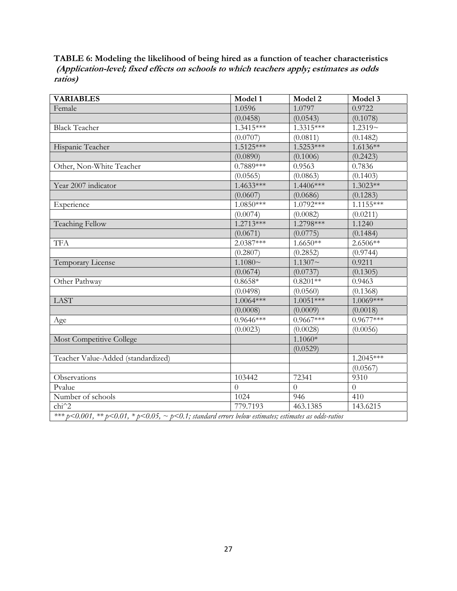**TABLE 6: Modeling the likelihood of being hired as a function of teacher characteristics (Application-level; fixed effects on schools to which teachers apply; estimates as odds ratios)** 

| <b>VARIABLES</b>                                                                                     | Model 1       | Model 2             | Model 3     |
|------------------------------------------------------------------------------------------------------|---------------|---------------------|-------------|
| Female                                                                                               | 1.0596        | 1.0797              | 0.9722      |
|                                                                                                      | (0.0458)      | (0.0543)            | (0.1078)    |
| <b>Black Teacher</b>                                                                                 | $1.3415***$   | $1.3315***$         | $1.2319 -$  |
|                                                                                                      | (0.0707)      | (0.0811)            | (0.1482)    |
| Hispanic Teacher                                                                                     | $1.5125***$   | $1.5253***$         | $1.6136**$  |
|                                                                                                      | (0.0890)      | (0.1006)            | (0.2423)    |
| Other, Non-White Teacher                                                                             | $0.7889***$   | 0.9563              | 0.7836      |
|                                                                                                      | (0.0565)      | (0.0863)            | (0.1403)    |
| Year 2007 indicator                                                                                  | $1.4633***$   | 1.4406***           | $1.3023**$  |
|                                                                                                      | (0.0607)      | (0.0686)            | (0.1283)    |
| Experience                                                                                           | $1.0850***$   | $1.0792***$         | $1.1155***$ |
|                                                                                                      | (0.0074)      | (0.0082)            | (0.0211)    |
| Teaching Fellow                                                                                      | $1.2713***$   | 1.2798 ***          | 1.1240      |
|                                                                                                      | (0.0671)      | (0.0775)            | (0.1484)    |
| <b>TFA</b>                                                                                           | 2.0387***     | $1.6650**$          | 2.6506**    |
|                                                                                                      | (0.2807)      | (0.2852)            | (0.9744)    |
| Temporary License                                                                                    | $1.1080 \sim$ | 1.1307 <sup>~</sup> | 0.9211      |
|                                                                                                      | (0.0674)      | (0.0737)            | (0.1305)    |
| Other Pathway                                                                                        | $0.8658*$     | $0.8201**$          | 0.9463      |
|                                                                                                      | (0.0498)      | (0.0560)            | (0.1368)    |
| <b>LAST</b>                                                                                          | $1.0064***$   | $1.0051***$         | $1.0069***$ |
|                                                                                                      | (0.0008)      | (0.0009)            | (0.0018)    |
| Age                                                                                                  | $0.9646***$   | $0.9667***$         | $0.9677***$ |
|                                                                                                      | (0.0023)      | (0.0028)            | (0.0056)    |
| Most Competitive College                                                                             |               | 1.1060*             |             |
|                                                                                                      |               | (0.0529)            |             |
| Teacher Value-Added (standardized)                                                                   |               |                     | 1.2045***   |
|                                                                                                      |               |                     | (0.0567)    |
| Observations                                                                                         | 103442        | 72341               | 9310        |
| Pvalue                                                                                               | $\Omega$      | $\theta$            | $\theta$    |
| Number of schools                                                                                    | 1024          | 946                 | 410         |
| chi^2                                                                                                | 779.7193      | 463.1385            | 143.6215    |
| *** p<0.001, ** p<0.01, * p<0.05, ~ p<0.1; standard errors below estimates; estimates as odds-ratios |               |                     |             |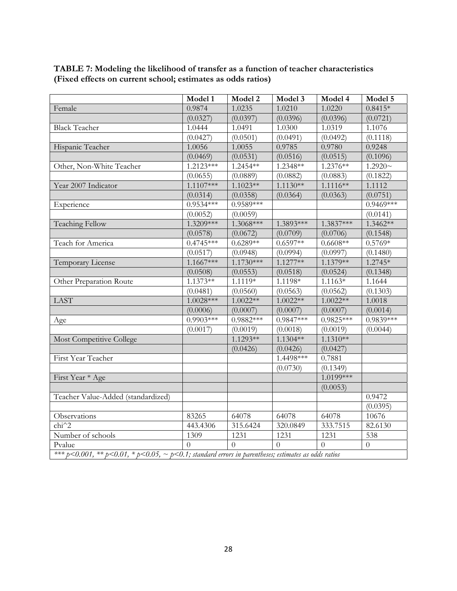|                                                                                                                     | Model 1     | Model 2     | Model 3     | Model 4     | Model 5        |  |  |
|---------------------------------------------------------------------------------------------------------------------|-------------|-------------|-------------|-------------|----------------|--|--|
| Female                                                                                                              | 0.9874      | 1.0235      | 1.0210      | 1.0220      | $0.8415*$      |  |  |
|                                                                                                                     | (0.0327)    | (0.0397)    | (0.0396)    | (0.0396)    | (0.0721)       |  |  |
| <b>Black Teacher</b>                                                                                                | 1.0444      | 1.0491      | 1.0300      | 1.0319      | 1.1076         |  |  |
|                                                                                                                     | (0.0427)    | (0.0501)    | (0.0491)    | (0.0492)    | (0.1118)       |  |  |
| Hispanic Teacher                                                                                                    | 1.0056      | 1.0055      | 0.9785      | 0.9780      | 0.9248         |  |  |
|                                                                                                                     | (0.0469)    | (0.0531)    | (0.0516)    | (0.0515)    | (0.1096)       |  |  |
| Other, Non-White Teacher                                                                                            | $1.2123***$ | $1.2454**$  | 1.2348**    | 1.2376**    | $1.2920 \sim$  |  |  |
|                                                                                                                     | (0.0655)    | (0.0889)    | (0.0882)    | (0.0883)    | (0.1822)       |  |  |
| Year 2007 Indicator                                                                                                 | $1.1107***$ | $1.1023**$  | $1.1130**$  | $1.1116**$  | 1.1112         |  |  |
|                                                                                                                     | (0.0314)    | (0.0358)    | (0.0364)    | (0.0363)    | (0.0751)       |  |  |
| Experience                                                                                                          | $0.9534***$ | $0.9589***$ |             |             | $0.9469***$    |  |  |
|                                                                                                                     | (0.0052)    | (0.0059)    |             |             | (0.0141)       |  |  |
| <b>Teaching Fellow</b>                                                                                              | $1.3209***$ | $1.3068***$ | 1.3893***   | 1.3837***   | $1.3462**$     |  |  |
|                                                                                                                     | (0.0578)    | (0.0672)    | (0.0709)    | (0.0706)    | (0.1548)       |  |  |
| Teach for America                                                                                                   | $0.4745***$ | $0.6289**$  | $0.6597**$  | $0.6608**$  | $0.5769*$      |  |  |
|                                                                                                                     | (0.0517)    | (0.0948)    | (0.0994)    | (0.0997)    | (0.1480)       |  |  |
| Temporary License                                                                                                   | $1.1667***$ | $1.1730***$ | $1.1277**$  | 1.1379**    | $1.2745*$      |  |  |
|                                                                                                                     | (0.0508)    | (0.0553)    | (0.0518)    | (0.0524)    | (0.1348)       |  |  |
| Other Preparation Route                                                                                             | $1.1373**$  | 1.1119*     | 1.1198*     | $1.1163*$   | 1.1644         |  |  |
|                                                                                                                     | (0.0481)    | (0.0560)    | (0.0563)    | (0.0562)    | (0.1303)       |  |  |
| <b>LAST</b>                                                                                                         | 1.0028***   | $1.0022**$  | $1.0022**$  | $1.0022**$  | 1.0018         |  |  |
|                                                                                                                     | (0.0006)    | (0.0007)    | (0.0007)    | (0.0007)    | (0.0014)       |  |  |
| Age                                                                                                                 | $0.9903***$ | $0.9882***$ | $0.9847***$ | $0.9825***$ | $0.9839***$    |  |  |
|                                                                                                                     | (0.0017)    | (0.0019)    | (0.0018)    | (0.0019)    | (0.0044)       |  |  |
| Most Competitive College                                                                                            |             | $1.1293**$  | $1.1304**$  | $1.1310**$  |                |  |  |
|                                                                                                                     |             | (0.0426)    | (0.0426)    | (0.0427)    |                |  |  |
| First Year Teacher                                                                                                  |             |             | 1.4498***   | 0.7881      |                |  |  |
|                                                                                                                     |             |             | (0.0730)    | (0.1349)    |                |  |  |
| First Year * Age                                                                                                    |             |             |             | 1.0199***   |                |  |  |
|                                                                                                                     |             |             |             | (0.0053)    |                |  |  |
| Teacher Value-Added (standardized)                                                                                  |             |             |             |             | 0.9472         |  |  |
|                                                                                                                     |             |             |             |             | (0.0395)       |  |  |
| Observations                                                                                                        | 83265       | 64078       | 64078       | 64078       | 10676          |  |  |
| chi^2                                                                                                               | 443.4306    | 315.6424    | 320.0849    | 333.7515    | 82.6130        |  |  |
| Number of schools                                                                                                   | 1309        | 1231        | 1231        | 1231        | 538            |  |  |
| Pvalue                                                                                                              | 0           | $\Omega$    | $\Omega$    | $\Omega$    | $\overline{0}$ |  |  |
| *** p<0.001, ** p<0.01, * p <sup>&lt;0.05</sup> , ~ p<0.1; standard errors in parentheses; estimates as odds ratios |             |             |             |             |                |  |  |

**TABLE 7: Modeling the likelihood of transfer as a function of teacher characteristics (Fixed effects on current school; estimates as odds ratios)**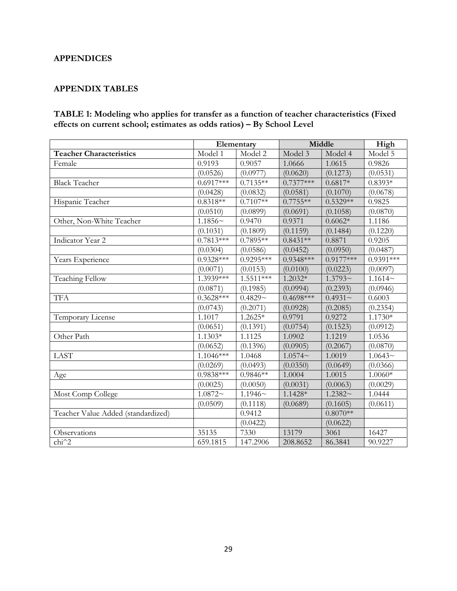## **APPENDICES**

### **APPENDIX TABLES**

# **TABLE 1: Modeling who applies for transfer as a function of teacher characteristics (Fixed effects on current school; estimates as odds ratios) – By School Level**

|                                    |              | Elementary   |             | Middle       | High         |
|------------------------------------|--------------|--------------|-------------|--------------|--------------|
| <b>Teacher Characteristics</b>     | Model 1      | Model 2      | Model 3     | Model 4      | Model 5      |
| Female                             | 0.9193       | 0.9057       | 1.0666      | 1.0615       | 0.9826       |
|                                    | (0.0526)     | (0.0977)     | (0.0620)    | (0.1273)     | (0.0531)     |
| <b>Black Teacher</b>               | $0.6917***$  | $0.7135**$   | $0.7377***$ | $0.6817*$    | $0.8393*$    |
|                                    | (0.0428)     | (0.0832)     | (0.0581)    | (0.1070)     | (0.0678)     |
| Hispanic Teacher                   | $0.8318**$   | $0.7107**$   | $0.7755**$  | $0.5329**$   | 0.9825       |
|                                    | (0.0510)     | (0.0899)     | (0.0691)    | (0.1058)     | (0.0870)     |
| Other, Non-White Teacher           | $1.1856\sim$ | 0.9470       | 0.9371      | $0.6062*$    | 1.1186       |
|                                    | (0.1031)     | (0.1809)     | (0.1159)    | (0.1484)     | (0.1220)     |
| Indicator Year 2                   | $0.7813***$  | $0.7895**$   | $0.8431**$  | 0.8871       | 0.9205       |
|                                    | (0.0304)     | (0.0586)     | (0.0452)    | (0.0950)     | (0.0487)     |
| Years Experience                   | $0.9328***$  | $0.9295***$  | $0.9348***$ | $0.9177***$  | $0.9391***$  |
|                                    | (0.0071)     | (0.0153)     | (0.0100)    | (0.0223)     | (0.0097)     |
| <b>Teaching Fellow</b>             | 1.3939***    | $1.5511***$  | $1.2032*$   | $1.3793\sim$ | 1.1614~      |
|                                    | (0.0871)     | (0.1985)     | (0.0994)    | (0.2393)     | (0.0946)     |
| <b>TFA</b>                         | $0.3628***$  | $0.4829\sim$ | $0.4698***$ | $0.4931$ ~   | 0.6003       |
|                                    | (0.0743)     | (0.2071)     | (0.0928)    | (0.2085)     | (0.2354)     |
| Temporary License                  | 1.1017       | $1.2625*$    | 0.9791      | 0.9272       | $1.1730*$    |
|                                    | (0.0651)     | (0.1391)     | (0.0754)    | (0.1523)     | (0.0912)     |
| Other Path                         | $1.1303*$    | 1.1125       | 1.0902      | 1.1219       | 1.0536       |
|                                    | (0.0652)     | (0.1396)     | (0.0905)    | (0.2067)     | (0.0870)     |
| <b>LAST</b>                        | $1.1046***$  | 1.0468       | $1.0574 -$  | 1.0019       | $1.0643\sim$ |
|                                    | (0.0269)     | (0.0493)     | (0.0350)    | (0.0649)     | (0.0366)     |
| Age                                | $0.9838***$  | $0.9846**$   | 1.0004      | 1.0015       | $1.0060*$    |
|                                    | (0.0025)     | (0.0050)     | (0.0031)    | (0.0063)     | (0.0029)     |
| Most Comp College                  | $1.0872$ ~   | $1.1946\sim$ | 1.1428*     | $1.2382 -$   | 1.0444       |
|                                    | (0.0509)     | (0.1118)     | (0.0689)    | (0.1605)     | (0.0611)     |
| Teacher Value Added (standardized) |              | 0.9412       |             | $0.8070**$   |              |
|                                    |              | (0.0422)     |             | (0.0622)     |              |
| Observations                       | 35135        | 7330         | 13179       | 3061         | 16427        |
| chi^2                              | 659.1815     | 147.2906     | 208.8652    | 86.3841      | 90.9227      |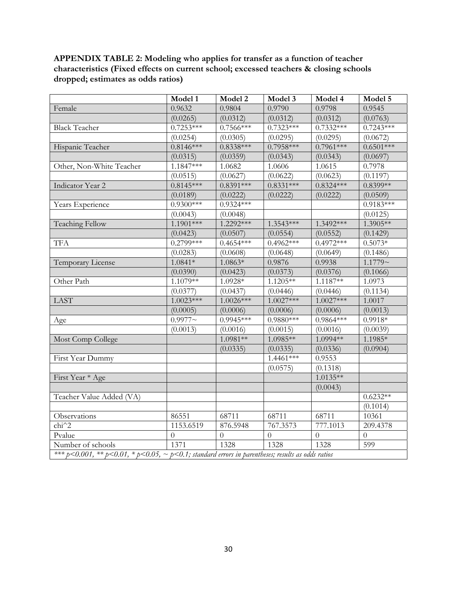**APPENDIX TABLE 2: Modeling who applies for transfer as a function of teacher characteristics (Fixed effects on current school; excessed teachers & closing schools dropped; estimates as odds ratios)** 

|                                                                                                   | Model 1      | Model 2     | Model 3        | Model 4        | Model 5        |
|---------------------------------------------------------------------------------------------------|--------------|-------------|----------------|----------------|----------------|
| Female                                                                                            | 0.9632       | 0.9804      | 0.9790         | 0.9798         | 0.9545         |
|                                                                                                   | (0.0265)     | (0.0312)    | (0.0312)       | (0.0312)       | (0.0763)       |
| <b>Black Teacher</b>                                                                              | $0.7253***$  | $0.7566***$ | $0.7323***$    | $0.7332***$    | $0.7243***$    |
|                                                                                                   | (0.0254)     | (0.0305)    | (0.0295)       | (0.0295)       | (0.0672)       |
| Hispanic Teacher                                                                                  | $0.8146***$  | $0.8338***$ | $0.7958***$    | $0.7961***$    | $0.6501***$    |
|                                                                                                   | (0.0315)     | (0.0359)    | (0.0343)       | (0.0343)       | (0.0697)       |
| Other, Non-White Teacher                                                                          | $1.1847***$  | 1.0682      | 1.0606         | 1.0615         | 0.7978         |
|                                                                                                   | (0.0515)     | (0.0627)    | (0.0622)       | (0.0623)       | (0.1197)       |
| Indicator Year 2                                                                                  | $0.8145***$  | $0.8391***$ | $0.8331***$    | $0.8324***$    | $0.8399**$     |
|                                                                                                   | (0.0189)     | (0.0222)    | (0.0222)       | (0.0222)       | (0.0509)       |
| Years Experience                                                                                  | $0.9300***$  | $0.9324***$ |                |                | $0.9183***$    |
|                                                                                                   | (0.0043)     | (0.0048)    |                |                | (0.0125)       |
| <b>Teaching Fellow</b>                                                                            | $1.1901***$  | $1.2292***$ | $1.3543***$    | 1.3492***      | 1.3905**       |
|                                                                                                   | (0.0423)     | (0.0507)    | (0.0554)       | (0.0552)       | (0.1429)       |
| <b>TFA</b>                                                                                        | $0.2799***$  | $0.4654***$ | $0.4962***$    | $0.4972***$    | $0.5073*$      |
|                                                                                                   | (0.0283)     | (0.0608)    | (0.0648)       | (0.0649)       | (0.1486)       |
| Temporary License                                                                                 | $1.0841*$    | 1.0863*     | 0.9876         | 0.9938         | $1.1779 -$     |
|                                                                                                   | (0.0390)     | (0.0423)    | (0.0373)       | (0.0376)       | (0.1066)       |
| Other Path                                                                                        | 1.1079**     | 1.0928*     | $1.1205**$     | $1.1187**$     | 1.0973         |
|                                                                                                   | (0.0377)     | (0.0437)    | (0.0446)       | (0.0446)       | (0.1134)       |
| <b>LAST</b>                                                                                       | $1.0023***$  | $1.0026***$ | $1.0027***$    | $1.0027***$    | 1.0017         |
|                                                                                                   | (0.0005)     | (0.0006)    | (0.0006)       | (0.0006)       | (0.0013)       |
| Age                                                                                               | $0.9977\sim$ | $0.9945***$ | $0.9880***$    | $0.9864***$    | $0.9918*$      |
|                                                                                                   | (0.0013)     | (0.0016)    | (0.0015)       | (0.0016)       | (0.0039)       |
| Most Comp College                                                                                 |              | $1.0981**$  | 1.0985**       | 1.0994**       | 1.1985*        |
|                                                                                                   |              | (0.0335)    | (0.0335)       | (0.0336)       | (0.0904)       |
| First Year Dummy                                                                                  |              |             | $1.4461***$    | 0.9553         |                |
|                                                                                                   |              |             | (0.0575)       | (0.1318)       |                |
| First Year * Age                                                                                  |              |             |                | $1.0135**$     |                |
|                                                                                                   |              |             |                | (0.0043)       |                |
| Teacher Value Added (VA)                                                                          |              |             |                |                | $0.6232**$     |
|                                                                                                   |              |             |                |                | (0.1014)       |
| Observations                                                                                      | 86551        | 68711       | 68711          | 68711          | 10361          |
| chi <sup>^2</sup>                                                                                 | 1153.6519    | 876.5948    | 767.3573       | 777.1013       | 209.4378       |
| Pvalue                                                                                            | $\theta$     | $\theta$    | $\overline{0}$ | $\overline{0}$ | $\overline{0}$ |
| Number of schools                                                                                 | 1371         | 1328        | 1328           | 1328           | 599            |
| *** p<0.001, ** p<0.01, * p<0.05, ~ p<0.1; standard errors in parentheses; results as odds ratios |              |             |                |                |                |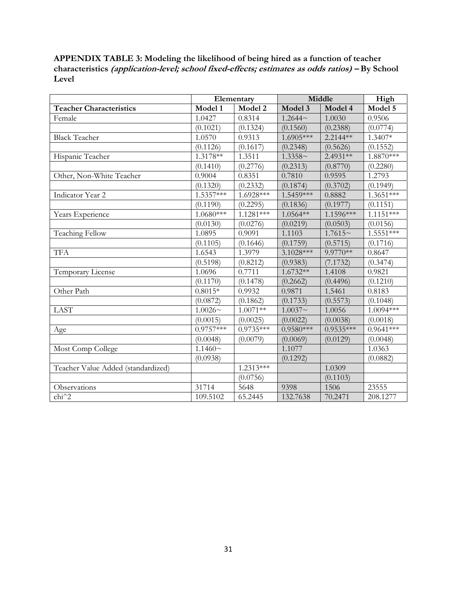**APPENDIX TABLE 3: Modeling the likelihood of being hired as a function of teacher characteristics (application-level; school fixed-effects; estimates as odds ratios) – By School Level** 

|                                    |               | Elementary  |              | Middle       | High        |
|------------------------------------|---------------|-------------|--------------|--------------|-------------|
| <b>Teacher Characteristics</b>     | Model 1       | Model 2     | Model 3      | Model 4      | Model 5     |
| Female                             | 1.0427        | 0.8314      | $1.2644\sim$ | 1.0030       | 0.9506      |
|                                    | (0.1021)      | (0.1324)    | (0.1560)     | (0.2388)     | (0.0774)    |
| <b>Black Teacher</b>               | 1.0570        | 0.9313      | 1.6905***    | $2.2144**$   | 1.3407*     |
|                                    | (0.1126)      | (0.1617)    | (0.2348)     | (0.5626)     | (0.1552)    |
| Hispanic Teacher                   | 1.3178**      | 1.3511      | $1.3358$ ~   | $2.4931**$   | 1.8870***   |
|                                    | (0.1410)      | (0.2776)    | (0.2313)     | (0.8770)     | (0.2280)    |
| Other, Non-White Teacher           | 0.9004        | 0.8351      | 0.7810       | 0.9595       | 1.2793      |
|                                    | (0.1320)      | (0.2332)    | (0.1874)     | (0.3702)     | (0.1949)    |
| Indicator Year 2                   | $1.5357***$   | 1.6928***   | 1.5459***    | 0.8882       | $1.3651***$ |
|                                    | (0.1190)      | (0.2295)    | (0.1836)     | (0.1977)     | (0.1151)    |
| Years Experience                   | $1.0680***$   | $1.1281***$ | $1.0564**$   | 1.1596***    | 1.1151***   |
|                                    | (0.0130)      | (0.0276)    | (0.0219)     | (0.0503)     | (0.0156)    |
| <b>Teaching Fellow</b>             | 1.0895        | 0.9091      | 1.1103       | $1.7615\sim$ | $1.5551***$ |
|                                    | (0.1105)      | (0.1646)    | (0.1759)     | (0.5715)     | (0.1716)    |
| <b>TFA</b>                         | 1.6543        | 1.3979      | 3.1028***    | 9.9770**     | 0.8647      |
|                                    | (0.5198)      | (0.8212)    | (0.9383)     | (7.1732)     | (0.3474)    |
| Temporary License                  | 1.0696        | 0.7711      | $1.6732**$   | 1.4108       | 0.9821      |
|                                    | (0.1170)      | (0.1478)    | (0.2662)     | (0.4496)     | (0.1210)    |
| Other Path                         | $0.8015*$     | 0.9932      | 0.9871       | 1.5461       | 0.8183      |
|                                    | (0.0872)      | (0.1862)    | (0.1733)     | (0.5573)     | (0.1048)    |
| <b>LAST</b>                        | $1.0026 \sim$ | $1.0071**$  | $1.0037 -$   | 1.0056       | 1.0094***   |
|                                    | (0.0015)      | (0.0025)    | (0.0022)     | (0.0038)     | (0.0018)    |
| Age                                | $0.9757***$   | $0.9735***$ | $0.9580***$  | $0.9535***$  | $0.9641***$ |
|                                    | (0.0048)      | (0.0079)    | (0.0069)     | (0.0129)     | (0.0048)    |
| Most Comp College                  | $1.1460 \sim$ |             | 1.1077       |              | 1.0363      |
|                                    | (0.0938)      |             | (0.1292)     |              | (0.0882)    |
| Teacher Value Added (standardized) |               | $1.2313***$ |              | 1.0309       |             |
|                                    |               | (0.0756)    |              | (0.1103)     |             |
| Observations                       | 31714         | 5648        | 9398         | 1506         | 23555       |
| chi^2                              | 109.5102      | 65.2445     | 132.7638     | 70.2471      | 208.1277    |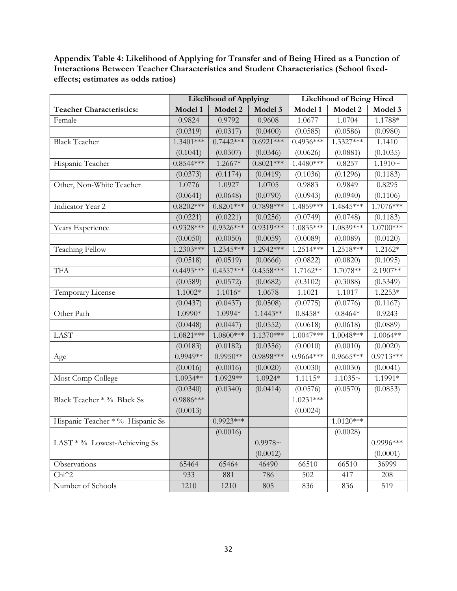**Appendix Table 4: Likelihood of Applying for Transfer and of Being Hired as a Function of Interactions Between Teacher Characteristics and Student Characteristics (School fixedeffects; estimates as odds ratios)** 

|                                  | Likelihood of Applying |             |             | <b>Likelihood of Being Hired</b> |             |              |
|----------------------------------|------------------------|-------------|-------------|----------------------------------|-------------|--------------|
| <b>Teacher Characteristics:</b>  | Model 1                | Model 2     | Model 3     | Model 1                          | Model 2     | Model 3      |
| Female                           | 0.9824                 | 0.9792      | 0.9608      | 1.0677                           | 1.0704      | 1.1788*      |
|                                  | (0.0319)               | (0.0317)    | (0.0400)    | (0.0585)                         | (0.0586)    | (0.0980)     |
| <b>Black Teacher</b>             | $1.3401***$            | $0.7442***$ | $0.6921***$ | $0.4936***$                      | $1.3327***$ | 1.1410       |
|                                  | (0.1041)               | (0.0307)    | (0.0346)    | (0.0626)                         | (0.0881)    | (0.1035)     |
| Hispanic Teacher                 | $0.8544***$            | $1.2667*$   | $0.8021***$ | $1.4480***$                      | 0.8257      | $1.1910\sim$ |
|                                  | (0.0373)               | (0.1174)    | (0.0419)    | (0.1036)                         | (0.1296)    | (0.1183)     |
| Other, Non-White Teacher         | 1.0776                 | 1.0927      | 1.0705      | 0.9883                           | 0.9849      | 0.8295       |
|                                  | (0.0641)               | (0.0648)    | (0.0790)    | (0.0943)                         | (0.0940)    | (0.1106)     |
| Indicator Year 2                 | $0.8202***$            | $0.8201***$ | $0.7898***$ | 1.4859***                        | $1.4845***$ | 1.7076***    |
|                                  | (0.0221)               | (0.0221)    | (0.0256)    | (0.0749)                         | (0.0748)    | (0.1183)     |
| Years Experience                 | $0.9328***$            | $0.9326***$ | $0.9319***$ | 1.0835***                        | $1.0839***$ | 1.0700***    |
|                                  | (0.0050)               | (0.0050)    | (0.0059)    | (0.0089)                         | (0.0089)    | (0.0120)     |
| <b>Teaching Fellow</b>           | $1.2303***$            | $1.2345***$ | 1.2942***   | $1.2514***$                      | $1.2518***$ | 1.2162*      |
|                                  | (0.0518)               | (0.0519)    | (0.0666)    | (0.0822)                         | (0.0820)    | (0.1095)     |
| <b>TFA</b>                       | $0.4493***$            | $0.4357***$ | $0.4558***$ | $1.7162**$                       | 1.7078**    | $2.1907**$   |
|                                  | (0.0589)               | (0.0572)    | (0.0682)    | (0.3102)                         | (0.3088)    | (0.5349)     |
| Temporary License                | $1.1002*$              | $1.1016*$   | 1.0678      | 1.1021                           | 1.1017      | 1.2253*      |
|                                  | (0.0437)               | (0.0437)    | (0.0508)    | (0.0775)                         | (0.0776)    | (0.1167)     |
| Other Path                       | 1.0990*                | 1.0994*     | $1.1443**$  | $0.8458*$                        | $0.8464*$   | 0.9243       |
|                                  | (0.0448)               | (0.0447)    | (0.0552)    | (0.0618)                         | (0.0618)    | (0.0889)     |
| <b>LAST</b>                      | $1.0821***$            | $1.0800***$ | $1.1370***$ | $1.0047***$                      | $1.0048***$ | $1.0064**$   |
|                                  | (0.0183)               | (0.0182)    | (0.0356)    | (0.0010)                         | (0.0010)    | (0.0020)     |
| Age                              | $0.9949**$             | $0.9950**$  | $0.9898***$ | $0.9664***$                      | $0.9665***$ | $0.9713***$  |
|                                  | (0.0016)               | (0.0016)    | (0.0020)    | (0.0030)                         | (0.0030)    | (0.0041)     |
| Most Comp College                | 1.0934**               | 1.0929**    | 1.0924*     | $1.1115*$                        | $1.1035 -$  | $1.1991*$    |
|                                  | (0.0340)               | (0.0340)    | (0.0414)    | (0.0576)                         | (0.0570)    | (0.0853)     |
| Black Teacher * % Black Ss       | $0.9886***$            |             |             | $1.0231***$                      |             |              |
|                                  | (0.0013)               |             |             | (0.0024)                         |             |              |
| Hispanic Teacher * % Hispanic Ss |                        | $0.9923***$ |             |                                  | $1.0120***$ |              |
|                                  |                        | (0.0016)    |             |                                  | (0.0028)    |              |
| LAST * % Lowest-Achieving Ss     |                        |             | $0.9978 -$  |                                  |             | $0.9996***$  |
|                                  |                        |             | (0.0012)    |                                  |             | (0.0001)     |
| Observations                     | 65464                  | 65464       | 46490       | 66510                            | 66510       | 36999        |
| $Chi^2$                          | 933                    | 881         | 786         | 502                              | 417         | 208          |
| Number of Schools                | 1210                   | 1210        | 805         | 836                              | 836         | 519          |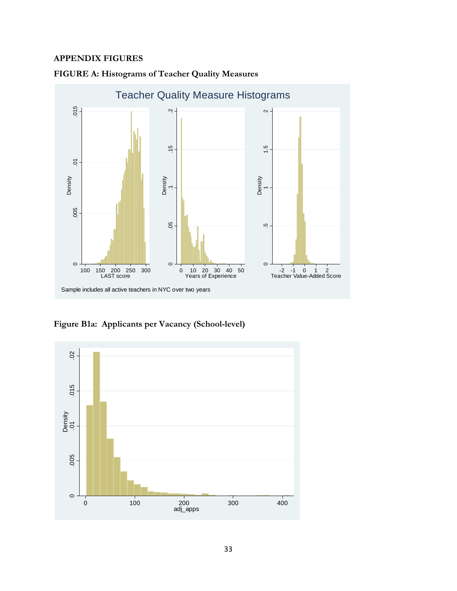# **APPENDIX FIGURES**



## **FIGURE A: Histograms of Teacher Quality Measures**

**Figure B1a: Applicants per Vacancy (School-level)** 

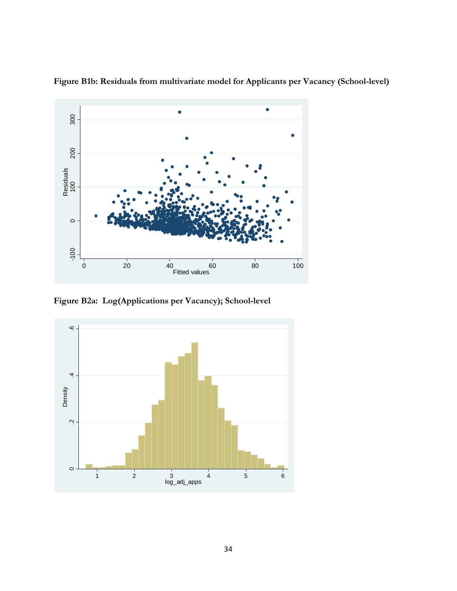

**Figure B1b: Residuals from multivariate model for Applicants per Vacancy (School-level)** 

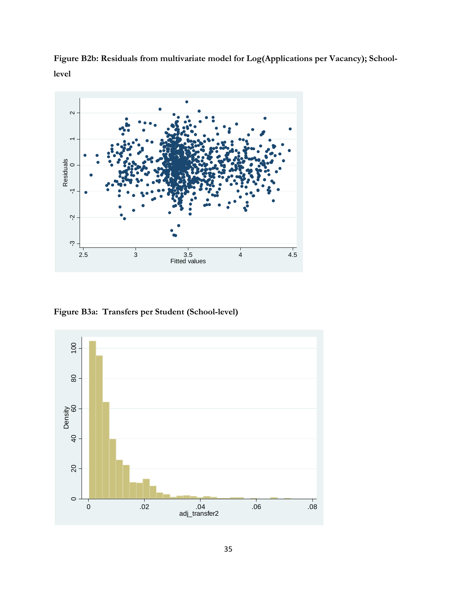**Figure B2b: Residuals from multivariate model for Log(Applications per Vacancy); Schoollevel** 



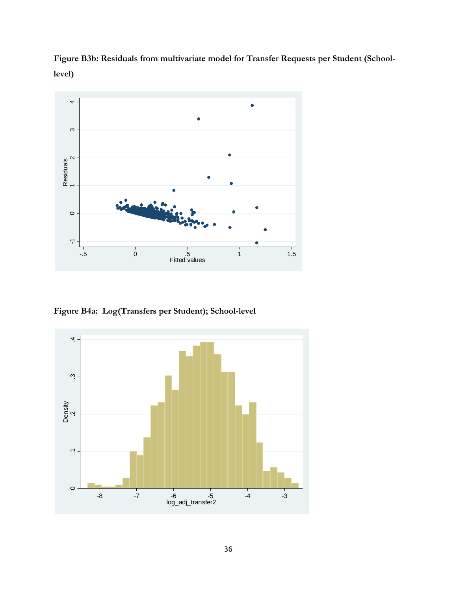**Figure B3b: Residuals from multivariate model for Transfer Requests per Student (Schoollevel)** 



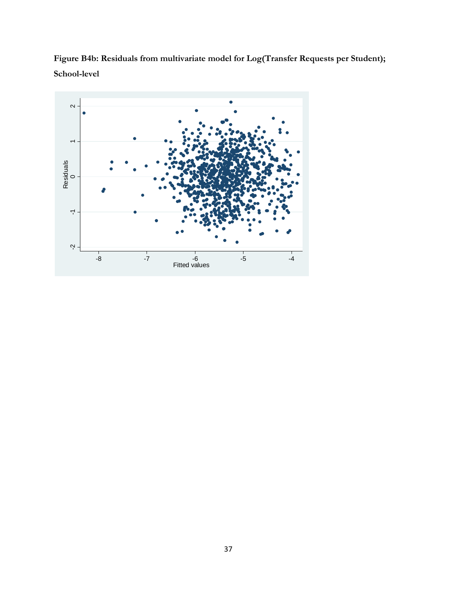**Figure B4b: Residuals from multivariate model for Log(Transfer Requests per Student); School-level** 

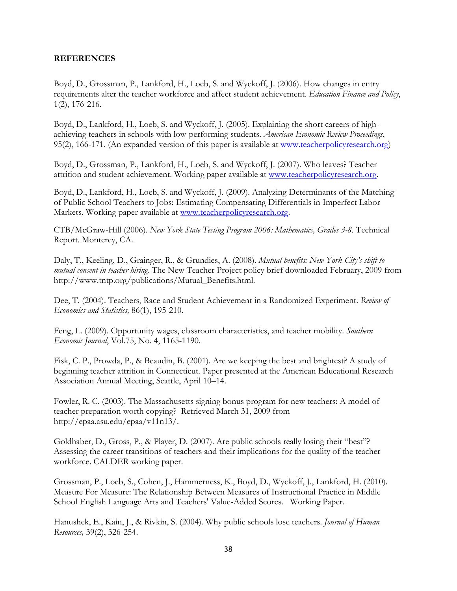### **REFERENCES**

Boyd, D., Grossman, P., Lankford, H., Loeb, S. and Wyckoff, J. (2006). How changes in entry requirements alter the teacher workforce and affect student achievement. *Education Finance and Policy*, 1(2), 176-216.

Boyd, D., Lankford, H., Loeb, S. and Wyckoff, J. (2005). Explaining the short careers of highachieving teachers in schools with low-performing students. *American Economic Review Proceedings*, 95(2), 166-171. (An expanded version of this paper is available at www.teacherpolicyresearch.org)

Boyd, D., Grossman, P., Lankford, H., Loeb, S. and Wyckoff, J. (2007). Who leaves? Teacher attrition and student achievement. Working paper available at www.teacherpolicyresearch.org.

Boyd, D., Lankford, H., Loeb, S. and Wyckoff, J. (2009). Analyzing Determinants of the Matching of Public School Teachers to Jobs: Estimating Compensating Differentials in Imperfect Labor Markets. Working paper available at www.teacherpolicyresearch.org.

CTB/McGraw-Hill (2006). *New York State Testing Program 2006: Mathematics, Grades 3-8.* Technical Report. Monterey, CA.

Daly, T., Keeling, D., Grainger, R., & Grundies, A. (2008). *Mutual benefits: New York City's shift to mutual consent in teacher hiring.* The New Teacher Project policy brief downloaded February, 2009 from http://www.tntp.org/publications/Mutual\_Benefits.html.

Dee, T. (2004). Teachers, Race and Student Achievement in a Randomized Experiment. *Review of Economics and Statistics,* 86(1), 195-210.

Feng, L. (2009). Opportunity wages, classroom characteristics, and teacher mobility. *Southern Economic Journal*, Vol.75, No. 4, 1165-1190.

Fisk, C. P., Prowda, P., & Beaudin, B. (2001). Are we keeping the best and brightest? A study of beginning teacher attrition in Connecticut. Paper presented at the American Educational Research Association Annual Meeting, Seattle, April 10–14.

Fowler, R. C. (2003). The Massachusetts signing bonus program for new teachers: A model of teacher preparation worth copying? Retrieved March 31, 2009 from http://epaa.asu.edu/epaa/v11n13/.

Goldhaber, D., Gross, P., & Player, D. (2007). Are public schools really losing their "best"? Assessing the career transitions of teachers and their implications for the quality of the teacher workforce. CALDER working paper.

Grossman, P., Loeb, S., Cohen, J., Hammerness, K., Boyd, D., Wyckoff, J., Lankford, H. (2010). Measure For Measure: The Relationship Between Measures of Instructional Practice in Middle School English Language Arts and Teachers' Value-Added Scores. Working Paper.

Hanushek, E., Kain, J., & Rivkin, S. (2004). Why public schools lose teachers. *Journal of Human Resources,* 39(2), 326-254.